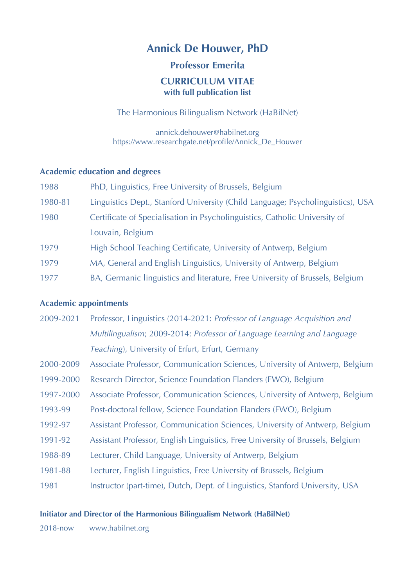# **Annick De Houwer, PhD**

# **Professor Emerita**

# **CURRICULUM VITAE with full publication list**

The Harmonious Bilingualism Network (HaBilNet)

annick.dehouwer@habilnet.org https://www.researchgate.net/profile/Annick\_De\_Houwer

# **Academic education and degrees**

| 1988    | PhD, Linguistics, Free University of Brussels, Belgium                          |
|---------|---------------------------------------------------------------------------------|
| 1980-81 | Linguistics Dept., Stanford University (Child Language; Psycholinguistics), USA |
| 1980    | Certificate of Specialisation in Psycholinguistics, Catholic University of      |
|         | Louvain, Belgium                                                                |
| 1979    | High School Teaching Certificate, University of Antwerp, Belgium                |
| 1979    | MA, General and English Linguistics, University of Antwerp, Belgium             |
| 1977    | BA, Germanic linguistics and literature, Free University of Brussels, Belgium   |

# **Academic appointments**

- 2009-2021 Professor, Linguistics (2014-2021: *Professor of Language Acquisition and Multilingualism*; 2009-2014: *Professor of Language Learning and Language Teaching*), University of Erfurt, Erfurt, Germany
- 2000-2009 Associate Professor, Communication Sciences, University of Antwerp, Belgium
- 1999-2000 Research Director, Science Foundation Flanders (FWO), Belgium
- 1997-2000 Associate Professor, Communication Sciences, University of Antwerp, Belgium
- 1993-99 Post-doctoral fellow, Science Foundation Flanders (FWO), Belgium
- 1992-97 Assistant Professor, Communication Sciences, University of Antwerp, Belgium
- 1991-92 Assistant Professor, English Linguistics, Free University of Brussels, Belgium
- 1988-89 Lecturer, Child Language, University of Antwerp, Belgium
- 1981-88 Lecturer, English Linguistics, Free University of Brussels, Belgium
- 1981 Instructor (part-time), Dutch, Dept. of Linguistics, Stanford University, USA

# **Initiator and Director of the Harmonious Bilingualism Network (HaBilNet)**

2018-now www.habilnet.org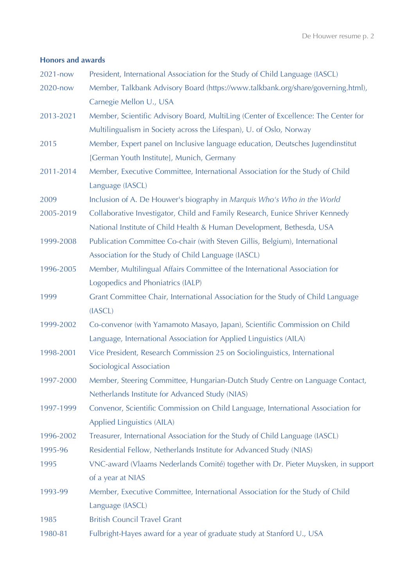# **Honors and awards**

| 2021-now  | President, International Association for the Study of Child Language (IASCL)       |
|-----------|------------------------------------------------------------------------------------|
| 2020-now  | Member, Talkbank Advisory Board (https://www.talkbank.org/share/governing.html),   |
|           | Carnegie Mellon U., USA                                                            |
| 2013-2021 | Member, Scientific Advisory Board, MultiLing (Center of Excellence: The Center for |
|           | Multilingualism in Society across the Lifespan), U. of Oslo, Norway                |
| 2015      | Member, Expert panel on Inclusive language education, Deutsches Jugendinstitut     |
|           | [German Youth Institute], Munich, Germany                                          |
| 2011-2014 | Member, Executive Committee, International Association for the Study of Child      |
|           | Language (IASCL)                                                                   |
| 2009      | Inclusion of A. De Houwer's biography in Marquis Who's Who in the World            |
| 2005-2019 | Collaborative Investigator, Child and Family Research, Eunice Shriver Kennedy      |
|           | National Institute of Child Health & Human Development, Bethesda, USA              |
| 1999-2008 | Publication Committee Co-chair (with Steven Gillis, Belgium), International        |
|           | Association for the Study of Child Language (IASCL)                                |
| 1996-2005 | Member, Multilingual Affairs Committee of the International Association for        |
|           | Logopedics and Phoniatrics (IALP)                                                  |
| 1999      | Grant Committee Chair, International Association for the Study of Child Language   |
|           | (IASCL)                                                                            |
| 1999-2002 | Co-convenor (with Yamamoto Masayo, Japan), Scientific Commission on Child          |
|           | Language, International Association for Applied Linguistics (AILA)                 |
| 1998-2001 | Vice President, Research Commission 25 on Sociolinguistics, International          |
|           | Sociological Association                                                           |
| 1997-2000 | Member, Steering Committee, Hungarian-Dutch Study Centre on Language Contact,      |
|           | Netherlands Institute for Advanced Study (NIAS)                                    |
| 1997-1999 | Convenor, Scientific Commission on Child Language, International Association for   |
|           | Applied Linguistics (AILA)                                                         |
| 1996-2002 | Treasurer, International Association for the Study of Child Language (IASCL)       |
| 1995-96   | Residential Fellow, Netherlands Institute for Advanced Study (NIAS)                |
| 1995      | VNC-award (Vlaams Nederlands Comité) together with Dr. Pieter Muysken, in support  |
|           | of a year at NIAS                                                                  |
| 1993-99   | Member, Executive Committee, International Association for the Study of Child      |
|           | Language (IASCL)                                                                   |
| 1985      | <b>British Council Travel Grant</b>                                                |
| 1980-81   | Fulbright-Hayes award for a year of graduate study at Stanford U., USA             |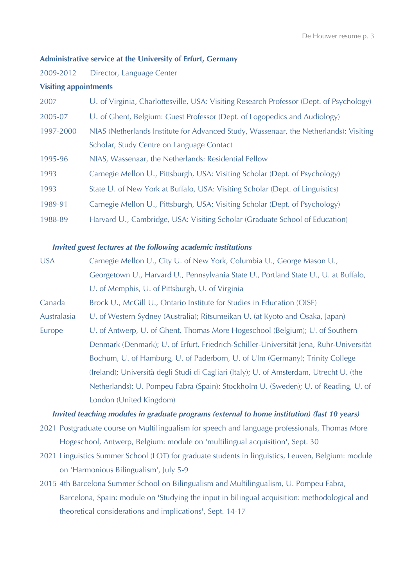# **Administrative service at the University of Erfurt, Germany**

2009-2012 Director, Language Center

## **Visiting appointments**

| 2007      | U. of Virginia, Charlottesville, USA: Visiting Research Professor (Dept. of Psychology) |  |  |  |
|-----------|-----------------------------------------------------------------------------------------|--|--|--|
| 2005-07   | U. of Ghent, Belgium: Guest Professor (Dept. of Logopedics and Audiology)               |  |  |  |
| 1997-2000 | NIAS (Netherlands Institute for Advanced Study, Wassenaar, the Netherlands): Visiting   |  |  |  |
|           | Scholar, Study Centre on Language Contact                                               |  |  |  |
| 1995-96   | NIAS, Wassenaar, the Netherlands: Residential Fellow                                    |  |  |  |
| 1993      | Carnegie Mellon U., Pittsburgh, USA: Visiting Scholar (Dept. of Psychology)             |  |  |  |
| 1993      | State U. of New York at Buffalo, USA: Visiting Scholar (Dept. of Linguistics)           |  |  |  |
| 1989-91   | Carnegie Mellon U., Pittsburgh, USA: Visiting Scholar (Dept. of Psychology)             |  |  |  |
| 1988-89   | Harvard U., Cambridge, USA: Visiting Scholar (Graduate School of Education)             |  |  |  |

#### *Invited guest lectures at the following academic institutions*

| <b>USA</b>  | Carnegie Mellon U., City U. of New York, Columbia U., George Mason U.,                  |  |  |  |
|-------------|-----------------------------------------------------------------------------------------|--|--|--|
|             | Georgetown U., Harvard U., Pennsylvania State U., Portland State U., U. at Buffalo,     |  |  |  |
|             | U. of Memphis, U. of Pittsburgh, U. of Virginia                                         |  |  |  |
| Canada      | Brock U., McGill U., Ontario Institute for Studies in Education (OISE)                  |  |  |  |
| Australasia | U. of Western Sydney (Australia); Ritsumeikan U. (at Kyoto and Osaka, Japan)            |  |  |  |
| Europe      | U. of Antwerp, U. of Ghent, Thomas More Hogeschool (Belgium); U. of Southern            |  |  |  |
|             | Denmark (Denmark); U. of Erfurt, Friedrich-Schiller-Universität Jena, Ruhr-Universität  |  |  |  |
|             | Bochum, U. of Hamburg, U. of Paderborn, U. of Ulm (Germany); Trinity College            |  |  |  |
|             | (Ireland); Università degli Studi di Cagliari (Italy); U. of Amsterdam, Utrecht U. (the |  |  |  |
|             | Netherlands); U. Pompeu Fabra (Spain); Stockholm U. (Sweden); U. of Reading, U. of      |  |  |  |
|             | London (United Kingdom)                                                                 |  |  |  |
|             |                                                                                         |  |  |  |

## *Invited teaching modules in graduate programs (external to home institution) (last 10 years)*

- 2021 Postgraduate course on Multilingualism for speech and language professionals, Thomas More Hogeschool, Antwerp, Belgium: module on 'multilingual acquisition', Sept. 30
- 2021 Linguistics Summer School (LOT) for graduate students in linguistics, Leuven, Belgium: module on 'Harmonious Bilingualism', July 5-9
- 2015 4th Barcelona Summer School on Bilingualism and Multilingualism, U. Pompeu Fabra, Barcelona, Spain: module on 'Studying the input in bilingual acquisition: methodological and theoretical considerations and implications', Sept. 14-17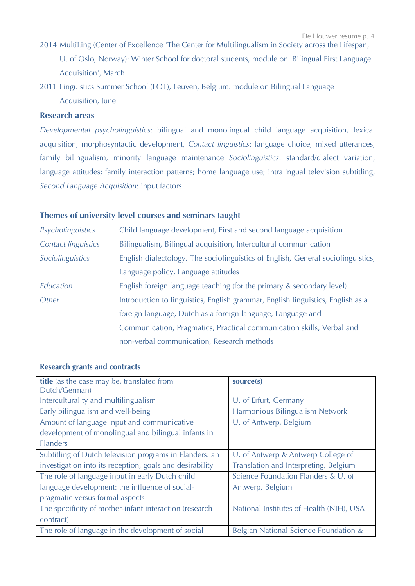- 2014 MultiLing (Center of Excellence 'The Center for Multilingualism in Society across the Lifespan, U. of Oslo, Norway): Winter School for doctoral students, module on 'Bilingual First Language Acquisition', March
- 2011 Linguistics Summer School (LOT), Leuven, Belgium: module on Bilingual Language Acquisition, June

# **Research areas**

*Developmental psycholinguistics*: bilingual and monolingual child language acquisition, lexical acquisition, morphosyntactic development, *Contact linguistics*: language choice, mixed utterances, family bilingualism, minority language maintenance *Sociolinguistics*: standard/dialect variation; language attitudes; family interaction patterns; home language use; intralingual television subtitling, *Second Language Acquisition*: input factors

# **Themes of university level courses and seminars taught**

| Psycholinguistics          | Child language development, First and second language acquisition                |
|----------------------------|----------------------------------------------------------------------------------|
| <b>Contact linguistics</b> | Bilingualism, Bilingual acquisition, Intercultural communication                 |
| Sociolinguistics           | English dialectology, The sociolinguistics of English, General sociolinguistics, |
|                            | Language policy, Language attitudes                                              |
| Education                  | English foreign language teaching (for the primary & secondary level)            |
| Other                      | Introduction to linguistics, English grammar, English linguistics, English as a  |
|                            | foreign language, Dutch as a foreign language, Language and                      |
|                            | Communication, Pragmatics, Practical communication skills, Verbal and            |
|                            | non-verbal communication, Research methods                                       |

| title (as the case may be, translated from               | source(s)                                |  |
|----------------------------------------------------------|------------------------------------------|--|
| Dutch/German)                                            |                                          |  |
| Interculturality and multilingualism                     | U. of Erfurt, Germany                    |  |
| Early bilingualism and well-being                        | Harmonious Bilingualism Network          |  |
| Amount of language input and communicative               | U. of Antwerp, Belgium                   |  |
| development of monolingual and bilingual infants in      |                                          |  |
| <b>Flanders</b>                                          |                                          |  |
| Subtitling of Dutch television programs in Flanders: an  | U. of Antwerp & Antwerp College of       |  |
| investigation into its reception, goals and desirability | Translation and Interpreting, Belgium    |  |
| The role of language input in early Dutch child          | Science Foundation Flanders & U. of      |  |
| language development: the influence of social-           | Antwerp, Belgium                         |  |
| pragmatic versus formal aspects                          |                                          |  |
| The specificity of mother-infant interaction (research   | National Institutes of Health (NIH), USA |  |
| contract)                                                |                                          |  |
| The role of language in the development of social        | Belgian National Science Foundation &    |  |

### **Research grants and contracts**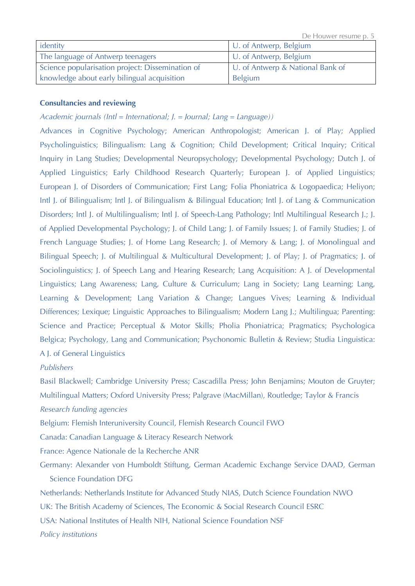De Houwer resume p. 5

| identity                                         | U. of Antwerp, Belgium           |
|--------------------------------------------------|----------------------------------|
| The language of Antwerp teenagers                | U. of Antwerp, Belgium           |
| Science popularisation project: Dissemination of | U. of Antwerp & National Bank of |
| knowledge about early bilingual acquisition      | <b>Belgium</b>                   |

## **Consultancies and reviewing**

# *Academic journals (Intl = International; J. = Journal; Lang = Language))*

Advances in Cognitive Psychology; American Anthropologist; American J. of Play; Applied Psycholinguistics; Bilingualism: Lang & Cognition; Child Development; Critical Inquiry; Critical Inquiry in Lang Studies; Developmental Neuropsychology; Developmental Psychology; Dutch J. of Applied Linguistics; Early Childhood Research Quarterly; European J. of Applied Linguistics; European J. of Disorders of Communication; First Lang; Folia Phoniatrica & Logopaedica; Heliyon; Intl J. of Bilingualism; Intl J. of Bilingualism & Bilingual Education; Intl J. of Lang & Communication Disorders; Intl J. of Multilingualism; Intl J. of Speech-Lang Pathology; Intl Multilingual Research J.; J. of Applied Developmental Psychology; J. of Child Lang; J. of Family Issues; J. of Family Studies; J. of French Language Studies; J. of Home Lang Research; J. of Memory & Lang; J. of Monolingual and Bilingual Speech; J. of Multilingual & Multicultural Development; J. of Play; J. of Pragmatics; J. of Sociolinguistics; J. of Speech Lang and Hearing Research; Lang Acquisition: A J. of Developmental Linguistics; Lang Awareness; Lang, Culture & Curriculum; Lang in Society; Lang Learning; Lang, Learning & Development; Lang Variation & Change; Langues Vives; Learning & Individual Differences; Lexique; Linguistic Approaches to Bilingualism; Modern Lang J.; Multilingua; Parenting: Science and Practice; Perceptual & Motor Skills; Pholia Phoniatrica; Pragmatics; Psychologica Belgica; Psychology, Lang and Communication; Psychonomic Bulletin & Review; Studia Linguistica: A J. of General Linguistics

## *Publishers*

Basil Blackwell; Cambridge University Press; Cascadilla Press; John Benjamins; Mouton de Gruyter; Multilingual Matters; Oxford University Press; Palgrave (MacMillan), Routledge; Taylor & Francis *Research funding agencies*

Belgium: Flemish Interuniversity Council, Flemish Research Council FWO

Canada: Canadian Language & Literacy Research Network

France: Agence Nationale de la Recherche ANR

Germany: Alexander von Humboldt Stiftung, German Academic Exchange Service DAAD, German Science Foundation DFG

Netherlands: Netherlands Institute for Advanced Study NIAS, Dutch Science Foundation NWO

UK: The British Academy of Sciences, The Economic & Social Research Council ESRC

USA: National Institutes of Health NIH, National Science Foundation NSF

*Policy institutions*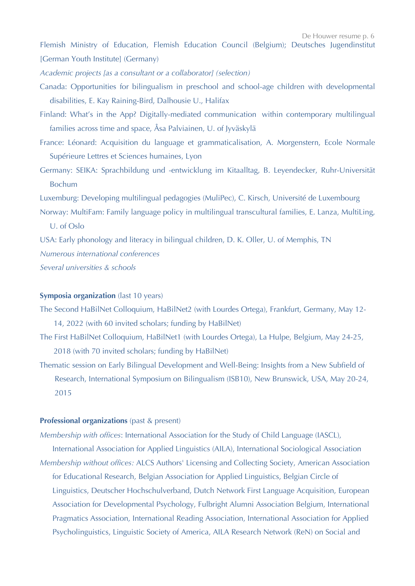Flemish Ministry of Education, Flemish Education Council (Belgium); Deutsches Jugendinstitut [German Youth Institute] (Germany)

*Academic projects [as a consultant or a collaborator] (selection)*

- Canada: Opportunities for bilingualism in preschool and school-age children with developmental disabilities, E. Kay Raining-Bird, Dalhousie U., Halifax
- Finland: What's in the App? Digitally-mediated communication within contemporary multilingual families across time and space, Åsa Palviainen, U. of Jyväskylä
- France: Léonard: Acquisition du language et grammaticalisation, A. Morgenstern, Ecole Normale Supérieure Lettres et Sciences humaines, Lyon
- Germany: SEIKA: Sprachbildung und -entwicklung im Kitaalltag, B. Leyendecker, Ruhr-Universität Bochum

Luxemburg: Developing multilingual pedagogies (MuliPec), C. Kirsch, Université de Luxembourg Norway: MultiFam: Family language policy in multilingual transcultural families, E. Lanza, MultiLing,

U. of Oslo

USA: Early phonology and literacy in bilingual children, D. K. Oller, U. of Memphis, TN *Numerous international conferences Several universities & schools*

## **Symposia organization** (last 10 years)

- The Second HaBilNet Colloquium, HaBilNet2 (with Lourdes Ortega), Frankfurt, Germany, May 12- 14, 2022 (with 60 invited scholars; funding by HaBilNet)
- The First HaBilNet Colloquium, HaBilNet1 (with Lourdes Ortega), La Hulpe, Belgium, May 24-25, 2018 (with 70 invited scholars; funding by HaBilNet)
- Thematic session on Early Bilingual Development and Well-Being: Insights from a New Subfield of Research, International Symposium on Bilingualism (ISB10), New Brunswick, USA, May 20-24, 2015

# **Professional organizations** (past & present)

*Membership with offices*: International Association for the Study of Child Language (IASCL),

International Association for Applied Linguistics (AILA), International Sociological Association *Membership without offices:* ALCS Authors' Licensing and Collecting Society, American Association for Educational Research, Belgian Association for Applied Linguistics, Belgian Circle of Linguistics, Deutscher Hochschulverband, Dutch Network First Language Acquisition, European Association for Developmental Psychology, Fulbright Alumni Association Belgium, International Pragmatics Association, International Reading Association, International Association for Applied Psycholinguistics, Linguistic Society of America, AILA Research Network (ReN) on Social and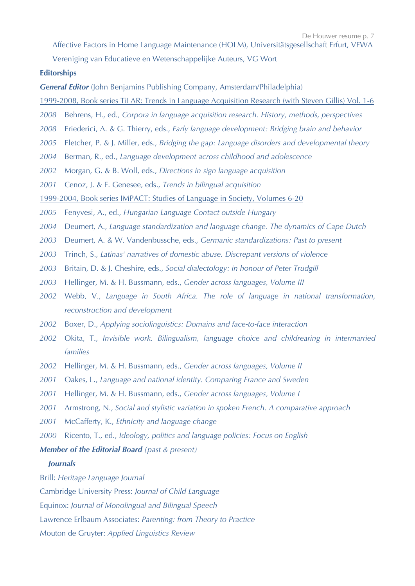Affective Factors in Home Language Maintenance (HOLM), Universitätsgesellschaft Erfurt, VEWA

Vereniging van Educatieve en Wetenschappelijke Auteurs, VG Wort

## **Editorships**

*General Editor* (John Benjamins Publishing Company, Amsterdam/Philadelphia)

- 1999-2008, Book series TiLAR: Trends in Language Acquisition Research (with Steven Gillis) Vol. 1-6
- *2008* Behrens, H., ed*., Corpora in language acquisition research. History, methods, perspectives*
- *2008* Friederici, A. & G. Thierry, eds., *Early language development: Bridging brain and behavior*
- *2005* Fletcher, P. & J. Miller, eds., *Bridging the gap: Language disorders and developmental theory*
- *2004* Berman, R., ed., *Language development across childhood and adolescence*
- *2002* Morgan, G. & B. Woll, eds., *Directions in sign language acquisition*
- *2001* Cenoz, J. & F. Genesee, eds., *Trends in bilingual acquisition*
- 1999-2004, Book series IMPACT: Studies of Language in Society, Volumes 6-20
- *2005* Fenyvesi, A., ed., *Hungarian Language Contact outside Hungary*
- *2004* Deumert, A., *Language standardization and language change. The dynamics of Cape Dutch*
- *2003* Deumert, A. & W. Vandenbussche, eds., *Germanic standardizations: Past to present*
- *2003* Trinch, S., *Latinas' narratives of domestic abuse. Discrepant versions of violence*
- *2003* Britain, D. & J. Cheshire, eds., *Social dialectology: in honour of Peter Trudgill*
- *2003* Hellinger, M. & H. Bussmann, eds., *Gender across languages, Volume III*
- *2002* Webb, V., *Language in South Africa. The role of language in national transformation, reconstruction and development*
- *2002* Boxer, D., *Applying sociolinguistics: Domains and face-to-face interaction*
- *2002* Okita, T., *Invisible work. Bilingualism, language choice and childrearing in intermarried families*
- *2002* Hellinger, M. & H. Bussmann, eds., *Gender across languages, Volume II*
- *2001* Oakes, L., *Language and national identity. Comparing France and Sweden*
- *2001* Hellinger, M. & H. Bussmann, eds., *Gender across languages, Volume I*
- *2001* Armstrong, N., *Social and stylistic variation in spoken French. A comparative approach*
- *2001* McCafferty, K., *Ethnicity and language change*
- *2000* Ricento, T., ed., *Ideology, politics and language policies: Focus on English*

#### *Member of the Editorial Board (past & present)*

#### *Journals*

Brill: *Heritage Language Journal*

Cambridge University Press: *Journal of Child Language* 

Equinox: *Journal of Monolingual and Bilingual Speech*

Lawrence Erlbaum Associates: *Parenting: from Theory to Practice*

Mouton de Gruyter: *Applied Linguistics Review*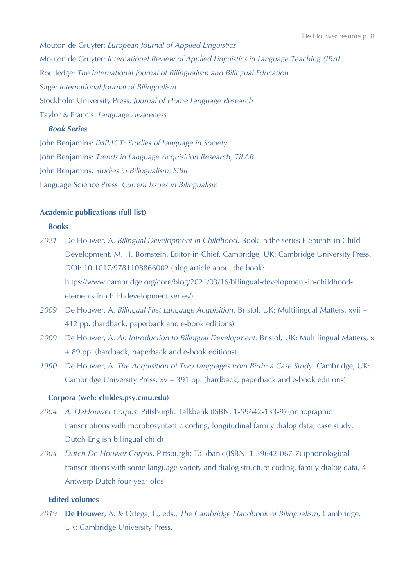Mouton de Gruyter: *European Journal of Applied Linguistics* Mouton de Gruyter: *International Review of Applied Linguistics in Language Teaching (IRAL)* Routledge: *The International Journal of Bilingualism and Bilingual Education* Sage: *International Journal of Bilingualism* Stockholm University Press: *Journal of Home Language Research* Taylor & Francis: *Language Awareness*

#### *Book Series*

John Benjamins: *IMPACT: Studies of Language in Society* John Benjamins: *Trends in Language Acquisition Research, TiLAR* John Benjamins: *Studies in Bilingualism, SiBiL* Language Science Press: *Current Issues in Bilingualism*

## **Academic publications (full list)**

#### **Books**

- *2021* De Houwer, A. *Bilingual Development in Childhood*. Book in the series Elements in Child Development, M. H. Bornstein, Editor-in-Chief. Cambridge, UK: Cambridge University Press. DOI: 10.1017/9781108866002 (blog article about the book: https://www.cambridge.org/core/blog/2021/03/16/bilingual-development-in-childhoodelements-in-child-development-series/)
- *2009* De Houwer, A. *Bilingual First Language Acquisition.* Bristol, UK: Multilingual Matters, xvii + 412 pp. (hardback, paperback and e-book editions)
- *2009* De Houwer, A. *An Introduction to Bilingual Development.* Bristol, UK: Multilingual Matters, x + 89 pp. (hardback, paperback and e-book editions)
- *1990* De Houwer, A. *The Acquisition of Two Languages from Birth: a Case Study*. Cambridge, UK: Cambridge University Press, xv + 391 pp. (hardback, paperback and e-book editions)

## **Corpora (web: childes.psy.cmu.edu)**

- *2004 A. DeHouwer Corpus*. Pittsburgh: Talkbank (ISBN: 1-59642-133-9) (orthographic transcriptions with morphosyntactic coding, longitudinal family dialog data, case study, Dutch-English bilingual child)
- *2004 Dutch-De Houwer Corpus*. Pittsburgh: Talkbank (ISBN: 1-59642-067-7) (phonological transcriptions with some language variety and dialog structure coding, family dialog data, 4 Antwerp Dutch four-year-olds)

# **Edited volumes**

*2019* **De Houwer**, A. & Ortega, L., eds., *The Cambridge Handbook of Bilingualism*, Cambridge, UK: Cambridge University Press.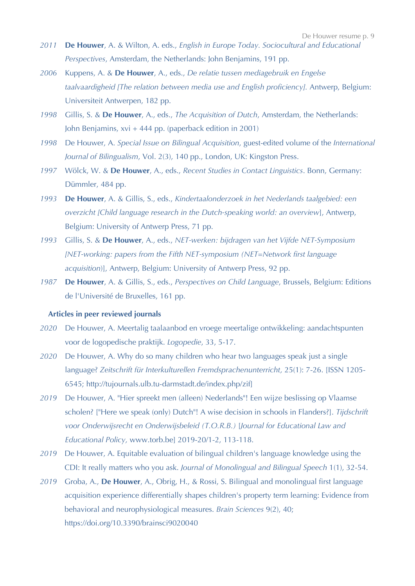- *2011* **De Houwer**, A. & Wilton, A. eds., *English in Europe Today. Sociocultural and Educational Perspectives*, Amsterdam, the Netherlands: John Benjamins, 191 pp.
- *2006* Kuppens, A. & **De Houwer**, A., eds., *De relatie tussen mediagebruik en Engelse taalvaardigheid [The relation between media use and English proficiency].* Antwerp, Belgium: Universiteit Antwerpen, 182 pp.
- *1998* Gillis, S. & **De Houwer**, A., eds., *The Acquisition of Dutch*, Amsterdam, the Netherlands: John Benjamins, xvi + 444 pp. (paperback edition in 2001)
- *1998* De Houwer, A. *Special Issue on Bilingual Acquisition*, guest-edited volume of the *International Journal of Bilingualism*, Vol. 2(3), 140 pp., London, UK: Kingston Press.
- *1997* Wölck, W. & **De Houwer**, A., eds., *Recent Studies in Contact Linguistics*. Bonn, Germany: Dümmler, 484 pp.
- *1993* **De Houwer**, A. & Gillis, S., eds., *Kindertaalonderzoek in het Nederlands taalgebied: een overzicht [Child language research in the Dutch-speaking world: an overview*], Antwerp, Belgium: University of Antwerp Press, 71 pp.
- *1993* Gillis, S. & **De Houwer**, A., eds., *NET-werken: bijdragen van het Vijfde NET-Symposium [NET-working: papers from the Fifth NET-symposium (NET=Network first language acquisition*)], Antwerp, Belgium: University of Antwerp Press, 92 pp.
- *1987* **De Houwer**, A. & Gillis, S., eds., *Perspectives on Child Language*, Brussels, Belgium: Editions de l'Université de Bruxelles, 161 pp.

#### **Articles in peer reviewed journals**

- *2020* De Houwer, A. Meertalig taalaanbod en vroege meertalige ontwikkeling: aandachtspunten voor de logopedische praktijk. *Logopedie*, 33, 5-17.
- *2020* De Houwer, A. Why do so many children who hear two languages speak just a single language? *Zeitschrift für Interkulturellen Fremdsprachenunterricht,* 25(1): 7-26. [ISSN 1205- 6545; http://tujournals.ulb.tu-darmstadt.de/index.php/zif]
- *2019* De Houwer, A. "Hier spreekt men (alleen) Nederlands"! Een wijze beslissing op Vlaamse scholen? ["Here we speak (only) Dutch"! A wise decision in schools in Flanders?]. *Tijdschrift voor Onderwijsrecht en Onderwijsbeleid (T.O.R.B.)* [*Journal for Educational Law and Educational Policy,* www.torb.be] 2019-20/1-2, 113-118.
- *2019* De Houwer, A. Equitable evaluation of bilingual children's language knowledge using the CDI: It really matters who you ask. *Journal of Monolingual and Bilingual Speech* 1(1), 32-54.
- *2019* Groba, A., **De Houwer**, A., Obrig, H., & Rossi, S. Bilingual and monolingual first language acquisition experience differentially shapes children's property term learning: Evidence from behavioral and neurophysiological measures. *Brain Sciences* 9(2), 40; https://doi.org/10.3390/brainsci9020040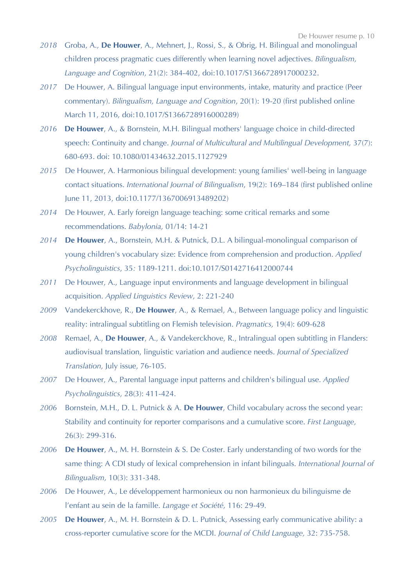- *2018* Groba, A., **De Houwer**, A., Mehnert, J., Rossi, S., & Obrig, H. Bilingual and monolingual children process pragmatic cues differently when learning novel adjectives. *Bilingualism, Language and Cognition*, 21(2): 384-402, doi:10.1017/S1366728917000232.
- *2017* De Houwer, A. Bilingual language input environments, intake, maturity and practice (Peer commentary). *Bilingualism, Language and Cognition*, 20(1): 19-20 (first published online March 11, 2016, doi:10.1017/S1366728916000289)
- *2016* **De Houwer**, A., & Bornstein, M.H*.* Bilingual mothers' language choice in child-directed speech: Continuity and change. *Journal of Multicultural and Multilingual Development,* 37(7): 680-693. doi: 10.1080/01434632.2015.1127929
- *2015* De Houwer, A. Harmonious bilingual development: young families' well-being in language contact situations. *International Journal of Bilingualism*, 19(2): 169–184 (first published online June 11, 2013, doi:10.1177/1367006913489202)
- *2014* De Houwer, A. Early foreign language teaching: some critical remarks and some recommendations. *Babylonia,* 01/14: 14-21
- *2014* **De Houwer**, A., Bornstein, M.H. & Putnick, D.L. A bilingual-monolingual comparison of young children's vocabulary size: Evidence from comprehension and production. *Applied Psycholinguistics,* 35*:* 1189-1211. doi:10.1017/S0142716412000744
- *2011* De Houwer, A., Language input environments and language development in bilingual acquisition. *Applied Linguistics Review*, 2: 221-240
- *2009* Vandekerckhove, R., **De Houwer**, A., & Remael, A., Between language policy and linguistic reality: intralingual subtitling on Flemish television. *Pragmatics,* 19(4): 609-628
- *2008* Remael, A., **De Houwer**, A., & Vandekerckhove, R., Intralingual open subtitling in Flanders: audiovisual translation, linguistic variation and audience needs. *Journal of Specialized Translation,* July issue, 76-105.
- *2007* De Houwer, A., Parental language input patterns and children's bilingual use. *Applied Psycholinguistics,* 28(3): 411-424.
- *2006* Bornstein, M.H., D. L. Putnick & A. **De Houwer**, Child vocabulary across the second year: Stability and continuity for reporter comparisons and a cumulative score. *First Language,* 26(3): 299-316.
- *2006* **De Houwer**, A., M. H. Bornstein & S. De Coster. Early understanding of two words for the same thing: A CDI study of lexical comprehension in infant bilinguals. *International Journal of Bilingualism,* 10(3): 331-348.
- *2006* De Houwer, A., Le développement harmonieux ou non harmonieux du bilinguisme de l'enfant au sein de la famille. *Langage et Société,* 116: 29-49*.*
- *2005* **De Houwer**, A., M. H. Bornstein & D. L. Putnick, Assessing early communicative ability: a cross-reporter cumulative score for the MCDI. *Journal of Child Language,* 32: 735-758.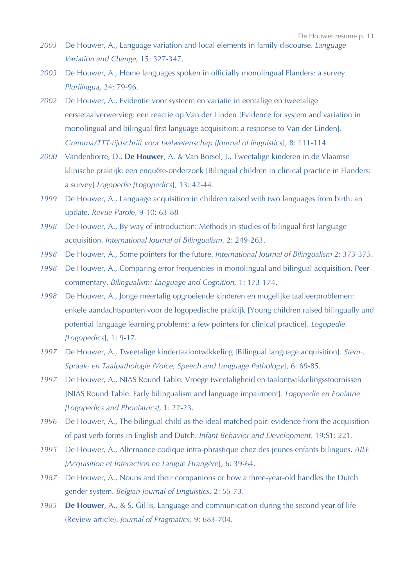- *2003* De Houwer, A., Language variation and local elements in family discourse. *Language Variation and Change,* 15: 327-347.
- *2003* De Houwer, A., Home languages spoken in officially monolingual Flanders: a survey. *Plurilingua,* 24: 79-96.
- *2002* De Houwer, A., Evidentie voor systeem en variatie in eentalige en tweetalige eerstetaalverwerving: een reactie op Van der Linden [Evidence for system and variation in monolingual and bilingual first language acquisition: a response to Van der Linden]. *Gramma/TTT-tijdschrift voor taalwetenschap [Journal of linguistics*], 8: 111-114*.*
- *2000* Vandenborre, D., **De Houwer**, A. & Van Borsel, J., Tweetalige kinderen in de Vlaamse klinische praktijk: een enquête-onderzoek [Bilingual children in clinical practice in Flanders: a survey] *Logopedie [Logopedics*], 13: 42-44*.*
- *1999* De Houwer, A., Language acquisition in children raised with two languages from birth: an update. *Revue Parole,* 9-10: 63-88
- *1998* De Houwer, A., By way of introduction: Methods in studies of bilingual first language acquisition. *International Journal of Bilingualism*, 2: 249-263.
- *1998* De Houwer, A., Some pointers for the future. *International Journal of Bilingualism* 2: 373-375.
- *1998* De Houwer, A., Comparing error frequencies in monolingual and bilingual acquisition. Peer commentary. *Bilingualism: Language and Cognition,* 1: 173-174.
- *1998* De Houwer, A., Jonge meertalig opgroeiende kinderen en mogelijke taalleerproblemen: enkele aandachtspunten voor de logopedische praktijk [Young children raised bilingually and potential language learning problems: a few pointers for clinical practice]. *Logopedie [Logopedics*], 1: 9-17.
- *1997* De Houwer, A., Tweetalige kindertaalontwikkeling [Bilingual language acquisition]. *Stem-, Spraak- en Taalpathologie [Voice, Speech and Language Pathology*], 6: 69-85*.*
- *1997* De Houwer, A., NIAS Round Table: Vroege tweetaligheid en taalontwikkelingsstoornissen [NIAS Round Table: Early bilingualism and language impairment]. *Logopedie en Foniatrie [Logopedics and Phoniatrics],* 1: 22-23.
- *1996* De Houwer, A., The bilingual child as the ideal matched pair: evidence from the acquisition of past verb forms in English and Dutch*. Infant Behavior and Development,* 19:S1: 221.
- *1995* De Houwer, A., Alternance codique intra-phrastique chez des jeunes enfants bilingues. *AILE [Acquisition et Interaction en Langue Etrangère*], 6: 39-64.
- *1987* De Houwer, A., Nouns and their companions or how a three-year-old handles the Dutch gender system. *Belgian Journal of Linguistics,* 2: 55-73.
- *1985* **De Houwer**, A., & S. Gillis, Language and communication during the second year of life (Review article). *Journal of Pragmatics,* 9: 683-704.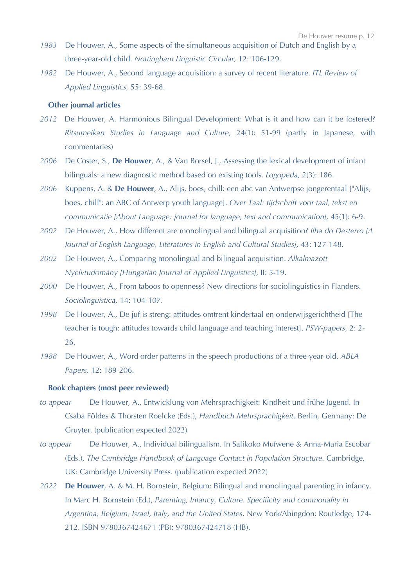- *1983* De Houwer, A., Some aspects of the simultaneous acquisition of Dutch and English by a three-year-old child. *Nottingham Linguistic Circular,* 12: 106-129.
- *1982* De Houwer, A., Second language acquisition: a survey of recent literature. *ITL Review of Applied Linguistics,* 55: 39-68.

#### **Other journal articles**

- *2012* De Houwer, A. Harmonious Bilingual Development: What is it and how can it be fostered? *Ritsumeikan Studies in Language and Culture*, 24(1): 51-99 (partly in Japanese, with commentaries)
- *2006* De Coster, S., **De Houwer**, A., & Van Borsel, J., Assessing the lexical development of infant bilinguals: a new diagnostic method based on existing tools. *Logopeda,* 2(3): 186.
- *2006* Kuppens, A. & **De Houwer**, A., Alijs, boes, chill: een abc van Antwerpse jongerentaal ["Alijs, boes, chill": an ABC of Antwerp youth language]. *Over Taal: tijdschrift voor taal, tekst en communicatie [About Language: journal for language, text and communication],* 45(1): 6-9.
- *2002* De Houwer, A., How different are monolingual and bilingual acquisition? *Ilha do Desterro [A Journal of English Language, Literatures in English and Cultural Studies],* 43: 127-148.
- *2002* De Houwer, A., Comparing monolingual and bilingual acquisition. *Alkalmazott Nyelvtudomány [Hungarian Journal of Applied Linguistics],* II: 5-19.
- *2000* De Houwer, A., From taboos to openness? New directions for sociolinguistics in Flanders. *Sociolinguistica,* 14: 104-107.
- *1998* De Houwer, A., De juf is streng: attitudes omtrent kindertaal en onderwijsgerichtheid [The teacher is tough: attitudes towards child language and teaching interest]. *PSW-papers,* 2: 2- 26.
- *1988* De Houwer, A., Word order patterns in the speech productions of a three-year-old. *ABLA Papers,* 12: 189-206.

#### **Book chapters (most peer reviewed)**

- *to appear* De Houwer, A., Entwicklung von Mehrsprachigkeit: Kindheit und frühe Jugend. In Csaba Földes & Thorsten Roelcke (Eds.), *Handbuch Mehrsprachigkeit*. Berlin, Germany: De Gruyter. (publication expected 2022)
- *to appear* De Houwer, A., Individual bilingualism. In Salikoko Mufwene & Anna-Maria Escobar (Eds.), *The Cambridge Handbook of Language Contact in Population Structure.* Cambridge, UK: Cambridge University Press. (publication expected 2022)
- *2022* **De Houwer**, A. & M. H. Bornstein, Belgium: Bilingual and monolingual parenting in infancy. In Marc H. Bornstein (Ed.), *Parenting, Infancy, Culture*. *Specificity and commonality in Argentina, Belgium, Israel, Italy, and the United States*. New York/Abingdon: Routledge, 174- 212. ISBN 9780367424671 (PB); 9780367424718 (HB).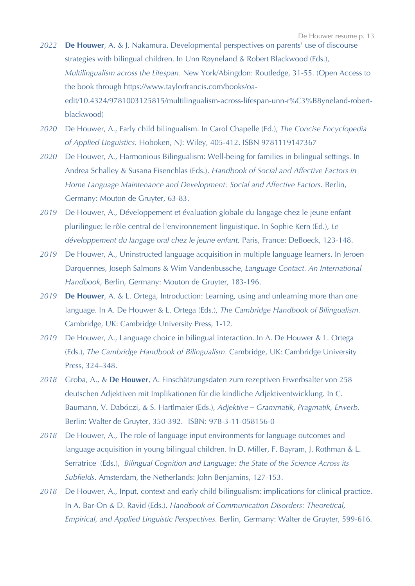- *2022* **De Houwer**, A. & J. Nakamura. Developmental perspectives on parents' use of discourse strategies with bilingual children. In Unn Røyneland & Robert Blackwood (Eds.), *Multilingualism across the Lifespan*. New York/Abingdon: Routledge, 31-55. (Open Access to the book through https://www.taylorfrancis.com/books/oaedit/10.4324/9781003125815/multilingualism-across-lifespan-unn-r%C3%B8yneland-robertblackwood)
- *2020* De Houwer, A., Early child bilingualism. In Carol Chapelle (Ed.), *The Concise Encyclopedia of Applied Linguistics.* Hoboken, NJ: Wiley, 405-412. ISBN 9781119147367
- *2020* De Houwer, A., Harmonious Bilingualism: Well-being for families in bilingual settings. In Andrea Schalley & Susana Eisenchlas (Eds.), *Handbook of Social and Affective Factors in Home Language Maintenance and Development: Social and Affective Factors*. Berlin, Germany: Mouton de Gruyter, 63-83.
- *2019* De Houwer, A., Développement et évaluation globale du langage chez le jeune enfant plurilingue: le rôle central de l'environnement linguistique. In Sophie Kern (Ed.), *Le développement du langage oral chez le jeune enfant.* Paris, France: DeBoeck, 123-148.
- *2019* De Houwer, A., Uninstructed language acquisition in multiple language learners. In Jeroen Darquennes, Joseph Salmons & Wim Vandenbussche, *Language Contact. An International Handbook,* Berlin, Germany: Mouton de Gruyter, 183-196.
- *2019* **De Houwer**, A. & L. Ortega, Introduction: Learning, using and unlearning more than one language. In A. De Houwer & L. Ortega (Eds.), *The Cambridge Handbook of Bilingualism.* Cambridge, UK: Cambridge University Press, 1-12.
- *2019* De Houwer, A., Language choice in bilingual interaction. In A. De Houwer & L. Ortega (Eds.), *The Cambridge Handbook of Bilingualism.* Cambridge, UK: Cambridge University Press, 324–348.
- *2018* Groba, A., & **De Houwer**, A. Einschätzungsdaten zum rezeptiven Erwerbsalter von 258 deutschen Adjektiven mit Implikationen für die kindliche Adjektiventwicklung. In C. Baumann, V. Dabóczi, & S. Hartlmaier (Eds.), *Adjektive – Grammatik, Pragmatik, Erwerb.*  Berlin: Walter de Gruyter, 350-392. ISBN: 978-3-11-058156-0
- *2018* De Houwer, A., The role of language input environments for language outcomes and language acquisition in young bilingual children. In D. Miller, F. Bayram, J. Rothman & L. Serratrice (Eds.), *Bilingual Cognition and Language: the State of the Science Across its Subfields*. Amsterdam, the Netherlands: John Benjamins, 127-153.
- *2018* De Houwer, A., Input, context and early child bilingualism: implications for clinical practice. In A. Bar-On & D. Ravid (Eds.), *Handbook of Communication Disorders: Theoretical, Empirical, and Applied Linguistic Perspectives.* Berlin, Germany: Walter de Gruyter, 599-616*.*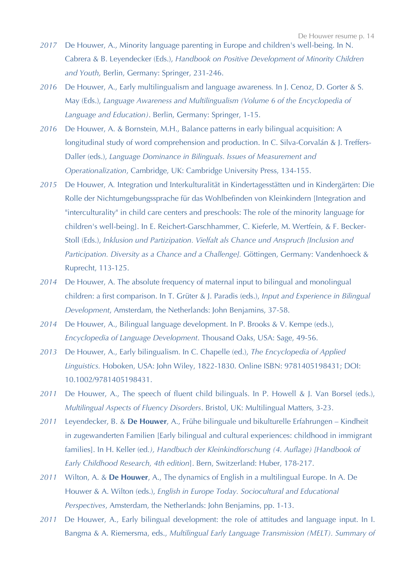- *2017* De Houwer, A., Minority language parenting in Europe and children's well-being. In N. Cabrera & B. Leyendecker (Eds.), *Handbook on Positive Development of Minority Children and Youth,* Berlin, Germany: Springer, 231-246.
- *2016* De Houwer, A., Early multilingualism and language awareness*.* In J. Cenoz, D. Gorter & S. May (Eds.), *Language Awareness and Multilingualism (Volume 6 of the Encyclopedia of Language and Education)*. Berlin, Germany: Springer, 1-15.
- *2016* De Houwer, A. & Bornstein, M.H., Balance patterns in early bilingual acquisition: A longitudinal study of word comprehension and production. In C. Silva-Corvalán & J. Treffers-Daller (eds.), *Language Dominance in Bilinguals. Issues of Measurement and Operationalization*, Cambridge, UK: Cambridge University Press, 134-155.
- *2015* De Houwer, A*.* Integration und Interkulturalität in Kindertagesstätten und in Kindergärten: Die Rolle der Nichtumgebungssprache für das Wohlbefinden von Kleinkindern [Integration and "interculturality" in child care centers and preschools: The role of the minority language for children's well-being]. In E. Reichert-Garschhammer, C. Kieferle, M. Wertfein, & F. Becker-Stoll (Eds.), *Inklusion und Partizipation. Vielfalt als Chance und Anspruch [Inclusion and Participation. Diversity as a Chance and a Challenge].* Göttingen, Germany: Vandenhoeck & Ruprecht, 113-125.
- *2014* De Houwer, A. The absolute frequency of maternal input to bilingual and monolingual children: a first comparison. In T. Grüter & J. Paradis (eds.), *Input and Experience in Bilingual Development*, Amsterdam, the Netherlands: John Benjamins, 37-58.
- *2014* De Houwer, A., Bilingual language development. In P. Brooks & V. Kempe (eds.), *Encyclopedia of Language Development*. Thousand Oaks, USA: Sage, 49-56.
- *2013* De Houwer, A., Early bilingualism. In C. Chapelle (ed.), *The Encyclopedia of Applied Linguistics.* Hoboken, USA: John Wiley, 1822-1830. Online ISBN: 9781405198431; DOI: 10.1002/9781405198431.
- *2011* De Houwer, A., The speech of fluent child bilinguals. In P. Howell & J. Van Borsel (eds.), *Multilingual Aspects of Fluency Disorders*. Bristol, UK: Multilingual Matters, 3-23.
- *2011* Leyendecker, B. & **De Houwer**, A., Frühe bilinguale und bikulturelle Erfahrungen Kindheit in zugewanderten Familien [Early bilingual and cultural experiences: childhood in immigrant families]. In H. Keller (ed*.), Handbuch der Kleinkindforschung (4. Auflage) [Handbook of Early Childhood Research, 4th edition*]. Bern, Switzerland: Huber, 178-217.
- *2011* Wilton, A. & **De Houwer**, A., The dynamics of English in a multilingual Europe. In A. De Houwer & A. Wilton (eds.), *English in Europe Today. Sociocultural and Educational Perspectives*, Amsterdam, the Netherlands: John Benjamins, pp. 1-13.
- *2011* De Houwer, A., Early bilingual development: the role of attitudes and language input. In I. Bangma & A. Riemersma, eds., *Multilingual Early Language Transmission (MELT). Summary of*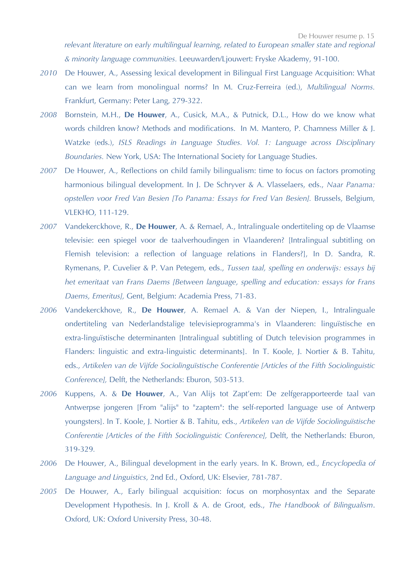*relevant literature on early multilingual learning, related to European smaller state and regional & minority language communities.* Leeuwarden/Ljouwert: Fryske Akademy, 91-100.

- *2010* De Houwer, A., Assessing lexical development in Bilingual First Language Acquisition: What can we learn from monolingual norms? In M. Cruz-Ferreira (ed.), *Multilingual Norms.*  Frankfurt, Germany: Peter Lang, 279-322.
- *2008* Bornstein, M.H., **De Houwer**, A., Cusick, M.A., & Putnick, D.L., How do we know what words children know? Methods and modifications. In M. Mantero, P. Chamness Miller & J. Watzke (eds.), *ISLS Readings in Language Studies. Vol. 1: Language across Disciplinary Boundaries.* New York, USA: The International Society for Language Studies.
- *2007* De Houwer, A., Reflections on child family bilingualism: time to focus on factors promoting harmonious bilingual development. In J. De Schryver & A. Vlasselaers, eds., *Naar Panama: opstellen voor Fred Van Besien [To Panama: Essays for Fred Van Besien].* Brussels, Belgium, VLEKHO, 111-129.
- *2007* Vandekerckhove, R., **De Houwer**, A. & Remael, A., Intralinguale ondertiteling op de Vlaamse televisie: een spiegel voor de taalverhoudingen in Vlaanderen? [Intralingual subtitling on Flemish television: a reflection of language relations in Flanders?], In D. Sandra, R. Rymenans, P. Cuvelier & P. Van Petegem, eds., *Tussen taal, spelling en onderwijs: essays bij het emeritaat van Frans Daems [Between language, spelling and education: essays for Frans Daems, Emeritus],* Gent, Belgium: Academia Press, 71-83.
- *2006* Vandekerckhove, R., **De Houwer**, A. Remael A. & Van der Niepen, I., Intralinguale ondertiteling van Nederlandstalige televisieprogramma's in Vlaanderen: linguïstische en extra-linguïstische determinanten [Intralingual subtitling of Dutch television programmes in Flanders: linguistic and extra-linguistic determinants]. In T. Koole, J. Nortier & B. Tahitu, eds., *Artikelen van de Vijfde Sociolinguïstische Conferentie [Articles of the Fifth Sociolinguistic Conference],* Delft, the Netherlands: Eburon, 503-513*.*
- *2006* Kuppens, A. & **De Houwer**, A., Van Alijs tot Zapt'em: De zelfgerapporteerde taal van Antwerpse jongeren [From "alijs" to "zaptem": the self-reported language use of Antwerp youngsters]. In T. Koole, J. Nortier & B. Tahitu, eds., *Artikelen van de Vijfde Sociolinguïstische Conferentie [Articles of the Fifth Sociolinguistic Conference], Delft, the Netherlands: Eburon,* 319-329*.*
- *2006* De Houwer, A., Bilingual development in the early years. In K. Brown, ed., *Encyclopedia of Language and Linguistics*, 2nd Ed., Oxford, UK: Elsevier, 781-787.
- *2005* De Houwer, A., Early bilingual acquisition: focus on morphosyntax and the Separate Development Hypothesis. In J. Kroll & A. de Groot, eds., *The Handbook of Bilingualism*. Oxford, UK: Oxford University Press, 30-48.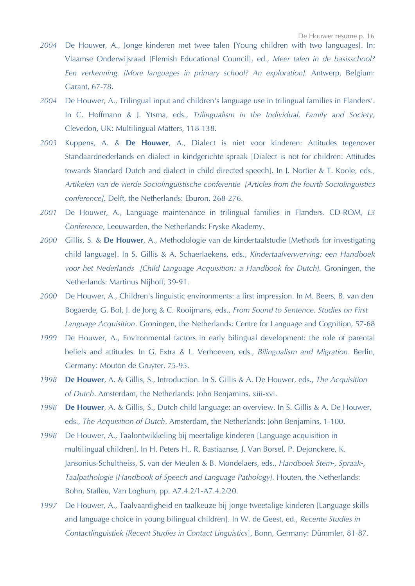- *2004* De Houwer, A., Jonge kinderen met twee talen [Young children with two languages]. In: Vlaamse Onderwijsraad [Flemish Educational Council], ed., *Meer talen in de basisschool? Een verkenning. [More languages in primary school? An exploration].* Antwerp, Belgium: Garant, 67-78.
- *2004* De Houwer, A., Trilingual input and children's language use in trilingual families in Flanders'. In C. Hoffmann & J. Ytsma, eds., *Trilingualism in the Individual, Family and Society*, Clevedon, UK: Multilingual Matters, 118-138.
- *2003* Kuppens, A. & **De Houwer**, A., Dialect is niet voor kinderen: Attitudes tegenover Standaardnederlands en dialect in kindgerichte spraak [Dialect is not for children: Attitudes towards Standard Dutch and dialect in child directed speech]. In J. Nortier & T. Koole, eds., *Artikelen van de vierde Sociolinguïstische conferentie [Articles from the fourth Sociolinguistics conference],* Delft, the Netherlands: Eburon, 268-276.
- *2001* De Houwer, A., Language maintenance in trilingual families in Flanders. CD-ROM, *L3 Conference*, Leeuwarden, the Netherlands: Fryske Akademy.
- *2000* Gillis, S. & **De Houwer**, A., Methodologie van de kindertaalstudie [Methods for investigating child language]. In S. Gillis & A. Schaerlaekens, eds., *Kindertaalverwerving: een Handboek voor het Nederlands [Child Language Acquisition: a Handbook for Dutch].* Groningen, the Netherlands: Martinus Nijhoff, 39-91.
- *2000* De Houwer, A., Children's linguistic environments: a first impression. In M. Beers, B. van den Bogaerde, G. Bol, J. de Jong & C. Rooijmans, eds., *From Sound to Sentence. Studies on First Language Acquisition*. Groningen, the Netherlands: Centre for Language and Cognition, 57-68
- *1999* De Houwer, A., Environmental factors in early bilingual development: the role of parental beliefs and attitudes. In G. Extra & L. Verhoeven, eds., *Bilingualism and Migration*. Berlin, Germany: Mouton de Gruyter, 75-95.
- *1998* **De Houwer**, A. & Gillis, S., Introduction. In S. Gillis & A. De Houwer, eds., *The Acquisition of Dutch*. Amsterdam, the Netherlands: John Benjamins, xiii-xvi.
- *1998* **De Houwer**, A. & Gillis, S., Dutch child language: an overview. In S. Gillis & A. De Houwer, eds., *The Acquisition of Dutch*. Amsterdam, the Netherlands: John Benjamins, 1-100.
- *1998* De Houwer, A., Taalontwikkeling bij meertalige kinderen [Language acquisition in multilingual children]. In H. Peters H., R. Bastiaanse, J. Van Borsel, P. Dejonckere, K. Jansonius-Schultheiss, S. van der Meulen & B. Mondelaers, eds., *Handboek Stem-, Spraak-, Taalpathologie [Handbook of Speech and Language Pathology].* Houten, the Netherlands: Bohn, Stafleu, Van Loghum, pp. A7.4.2/1-A7.4.2/20.
- *1997* De Houwer, A., Taalvaardigheid en taalkeuze bij jonge tweetalige kinderen [Language skills and language choice in young bilingual children]. In W. de Geest, ed., *Recente Studies in Contactlinguïstiek [Recent Studies in Contact Linguistics*], Bonn, Germany: Dümmler, 81-87.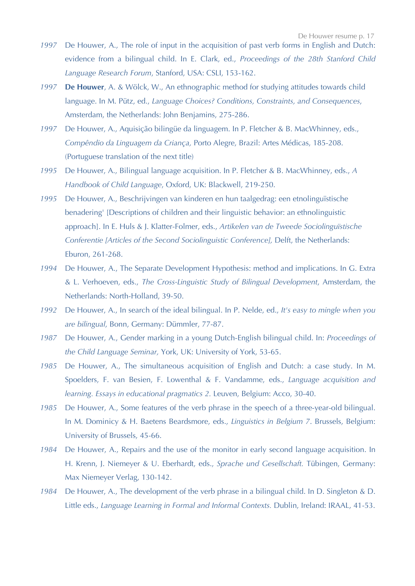- *1997* De Houwer, A., The role of input in the acquisition of past verb forms in English and Dutch: evidence from a bilingual child. In E. Clark, ed., *Proceedings of the 28th Stanford Child Language Research Forum*, Stanford, USA: CSLI, 153-162.
- *1997* **De Houwer**, A. & Wölck, W., An ethnographic method for studying attitudes towards child language. In M. Pütz, ed., *Language Choices? Conditions, Constraints, and Consequences*, Amsterdam, the Netherlands: John Benjamins, 275-286.
- *1997* De Houwer, A., Aquisição bilingüe da linguagem. In P. Fletcher & B. MacWhinney, eds., *Compêndio da Linguagem da Criança,* Porto Alegre, Brazil: Artes Médicas, 185-208. (Portuguese translation of the next title)
- *1995* De Houwer, A., Bilingual language acquisition. In P. Fletcher & B. MacWhinney, eds., *A Handbook of Child Language*, Oxford, UK: Blackwell, 219-250.
- *1995* De Houwer, A., Beschrijvingen van kinderen en hun taalgedrag: een etnolinguïstische benadering' [Descriptions of children and their linguistic behavior: an ethnolinguistic approach]. In E. Huls & J. Klatter-Folmer, eds., *Artikelen van de Tweede Sociolinguïstische Conferentie [Articles of the Second Sociolinguistic Conference], Delft, the Netherlands:* Eburon, 261-268.
- *1994* De Houwer, A., The Separate Development Hypothesis: method and implications. In G. Extra & L. Verhoeven, eds., *The Cross-Linguistic Study of Bilingual Development*, Amsterdam, the Netherlands: North-Holland, 39-50.
- *1992* De Houwer, A., In search of the ideal bilingual. In P. Nelde, ed., *It's easy to mingle when you are bilingual*, Bonn, Germany: Dümmler, 77-87.
- *1987* De Houwer, A., Gender marking in a young Dutch-English bilingual child. In: *Proceedings of the Child Language Seminar,* York, UK: University of York, 53-65.
- *1985* De Houwer, A., The simultaneous acquisition of English and Dutch: a case study. In M. Spoelders, F. van Besien, F. Lowenthal & F. Vandamme, eds., *Language acquisition and learning. Essays in educational pragmatics 2.* Leuven, Belgium: Acco, 30-40.
- *1985* De Houwer, A., Some features of the verb phrase in the speech of a three-year-old bilingual. In M. Dominicy & H. Baetens Beardsmore, eds., *Linguistics in Belgium 7*. Brussels, Belgium: University of Brussels, 45-66.
- *1984* De Houwer, A., Repairs and the use of the monitor in early second language acquisition. In H. Krenn, J. Niemeyer & U. Eberhardt, eds., *Sprache und Gesellschaft.* Tübingen, Germany: Max Niemeyer Verlag, 130-142.
- *1984* De Houwer, A., The development of the verb phrase in a bilingual child. In D. Singleton & D. Little eds., *Language Learning in Formal and Informal Contexts.* Dublin, Ireland: IRAAL, 41-53.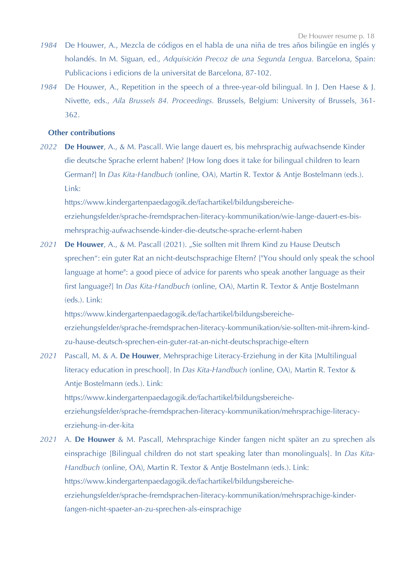- *1984* De Houwer, A., Mezcla de códigos en el habla de una niña de tres años bilingüe en inglés y holandés. In M. Siguan, ed., *Adquisición Precoz de una Segunda Lengua.* Barcelona, Spain: Publicacions i edicions de la universitat de Barcelona, 87-102.
- 1984 De Houwer, A., Repetition in the speech of a three-year-old bilingual. In J. Den Haese & J. Nivette, eds., *Aila Brussels 84. Proceedings.* Brussels, Belgium: University of Brussels, 361- 362.

### **Other contributions**

*2022* **De Houwer**, A., & M. Pascall. Wie lange dauert es, bis mehrsprachig aufwachsende Kinder die deutsche Sprache erlernt haben? [How long does it take for bilingual children to learn German?] In *Das Kita-Handbuch* (online, OA), Martin R. Textor & Antje Bostelmann (eds.). Link:

https://www.kindergartenpaedagogik.de/fachartikel/bildungsbereicheerziehungsfelder/sprache-fremdsprachen-literacy-kommunikation/wie-lange-dauert-es-bismehrsprachig-aufwachsende-kinder-die-deutsche-sprache-erlernt-haben

*2021* **De Houwer**, A., & M. Pascall (2021). "Sie sollten mit Ihrem Kind zu Hause Deutsch sprechen": ein guter Rat an nicht-deutschsprachige Eltern? ["You should only speak the school language at home": a good piece of advice for parents who speak another language as their first language?] In *Das Kita-Handbuch* (online, OA), Martin R. Textor & Antje Bostelmann (eds.). Link:

https://www.kindergartenpaedagogik.de/fachartikel/bildungsbereicheerziehungsfelder/sprache-fremdsprachen-literacy-kommunikation/sie-sollten-mit-ihrem-kindzu-hause-deutsch-sprechen-ein-guter-rat-an-nicht-deutschsprachige-eltern

- *2021* Pascall, M. & A. **De Houwer**, Mehrsprachige Literacy-Erziehung in der Kita [Multilingual literacy education in preschool]. In *Das Kita-Handbuch* (online, OA), Martin R. Textor & Antje Bostelmann (eds.). Link: https://www.kindergartenpaedagogik.de/fachartikel/bildungsbereicheerziehungsfelder/sprache-fremdsprachen-literacy-kommunikation/mehrsprachige-literacyerziehung-in-der-kita
- *2021* A. **De Houwer** & M. Pascall, Mehrsprachige Kinder fangen nicht später an zu sprechen als einsprachige [Bilingual children do not start speaking later than monolinguals]. In *Das Kita-Handbuch* (online, OA), Martin R. Textor & Antje Bostelmann (eds.). Link: https://www.kindergartenpaedagogik.de/fachartikel/bildungsbereicheerziehungsfelder/sprache-fremdsprachen-literacy-kommunikation/mehrsprachige-kinderfangen-nicht-spaeter-an-zu-sprechen-als-einsprachige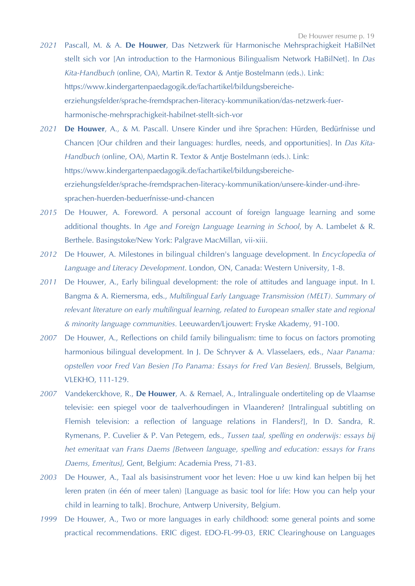- *2021* Pascall, M. & A. **De Houwer**, Das Netzwerk für Harmonische Mehrsprachigkeit HaBilNet stellt sich vor [An introduction to the Harmonious Bilingualism Network HaBilNet]. In *Das Kita-Handbuch* (online, OA), Martin R. Textor & Antje Bostelmann (eds.). Link: https://www.kindergartenpaedagogik.de/fachartikel/bildungsbereicheerziehungsfelder/sprache-fremdsprachen-literacy-kommunikation/das-netzwerk-fuerharmonische-mehrsprachigkeit-habilnet-stellt-sich-vor
- *2021* **De Houwer**, A., & M. Pascall. Unsere Kinder und ihre Sprachen: Hürden, Bedürfnisse und Chancen [Our children and their languages: hurdles, needs, and opportunities]. In *Das Kita-Handbuch* (online, OA), Martin R. Textor & Antje Bostelmann (eds.). Link: https://www.kindergartenpaedagogik.de/fachartikel/bildungsbereicheerziehungsfelder/sprache-fremdsprachen-literacy-kommunikation/unsere-kinder-und-ihresprachen-huerden-beduerfnisse-und-chancen
- *2015* De Houwer, A. Foreword. A personal account of foreign language learning and some additional thoughts. In *Age and Foreign Language Learning in School*, by A. Lambelet & R. Berthele. Basingstoke/New York: Palgrave MacMillan, vii-xiii.
- *2012* De Houwer, A. Milestones in bilingual children's language development. In *Encyclopedia of Language and Literacy Development*. London, ON, Canada: Western University, 1-8.
- *2011* De Houwer, A., Early bilingual development: the role of attitudes and language input. In I. Bangma & A. Riemersma, eds., *Multilingual Early Language Transmission (MELT). Summary of relevant literature on early multilingual learning, related to European smaller state and regional & minority language communities.* Leeuwarden/Ljouwert: Fryske Akademy, 91-100.
- *2007* De Houwer, A., Reflections on child family bilingualism: time to focus on factors promoting harmonious bilingual development. In J. De Schryver & A. Vlasselaers, eds., *Naar Panama: opstellen voor Fred Van Besien [To Panama: Essays for Fred Van Besien].* Brussels, Belgium, VLEKHO, 111-129.
- *2007* Vandekerckhove, R., **De Houwer**, A. & Remael, A., Intralinguale ondertiteling op de Vlaamse televisie: een spiegel voor de taalverhoudingen in Vlaanderen? [Intralingual subtitling on Flemish television: a reflection of language relations in Flanders?], In D. Sandra, R. Rymenans, P. Cuvelier & P. Van Petegem, eds., *Tussen taal, spelling en onderwijs: essays bij het emeritaat van Frans Daems [Between language, spelling and education: essays for Frans Daems, Emeritus],* Gent, Belgium: Academia Press, 71-83.
- *2003* De Houwer, A., Taal als basisinstrument voor het leven: Hoe u uw kind kan helpen bij het leren praten (in één of meer talen) [Language as basic tool for life: How you can help your child in learning to talk]. Brochure, Antwerp University, Belgium.
- *1999* De Houwer, A., Two or more languages in early childhood: some general points and some practical recommendations. ERIC digest. EDO-FL-99-03, ERIC Clearinghouse on Languages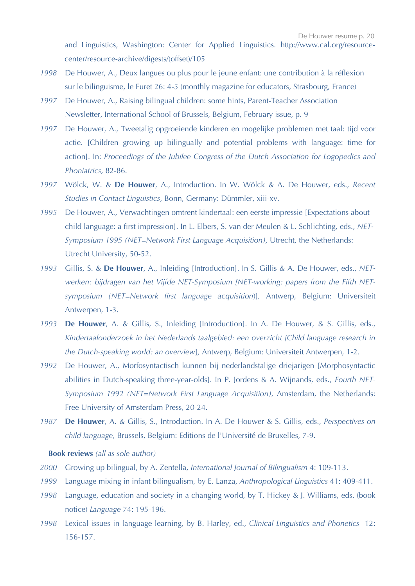and Linguistics, Washington: Center for Applied Linguistics. http://www.cal.org/resourcecenter/resource-archive/digests/(offset)/105

- *1998* De Houwer, A., Deux langues ou plus pour le jeune enfant: une contribution à la réflexion sur le bilinguisme, le Furet 26: 4-5 (monthly magazine for educators, Strasbourg, France)
- *1997* De Houwer, A., Raising bilingual children: some hints, Parent-Teacher Association Newsletter, International School of Brussels, Belgium, February issue, p. 9
- *1997* De Houwer, A., Tweetalig opgroeiende kinderen en mogelijke problemen met taal: tijd voor actie. [Children growing up bilingually and potential problems with language: time for action]. In: *Proceedings of the Jubilee Congress of the Dutch Association for Logopedics and Phoniatrics,* 82-86.
- *1997* Wölck, W. & **De Houwer**, A., Introduction. In W. Wölck & A. De Houwer, eds., *Recent Studies in Contact Linguistics*, Bonn, Germany: Dümmler, xiii-xv.
- *1995* De Houwer, A., Verwachtingen omtrent kindertaal: een eerste impressie [Expectations about child language: a first impression]. In L. Elbers, S. van der Meulen & L. Schlichting, eds., *NET-Symposium 1995 (NET=Network First Language Acquisition),* Utrecht, the Netherlands: Utrecht University, 50-52.
- *1993* Gillis, S. & **De Houwer**, A., Inleiding [Introduction]. In S. Gillis & A. De Houwer, eds., *NETwerken: bijdragen van het Vijfde NET-Symposium [NET-working: papers from the Fifth NETsymposium (NET=Network first language acquisition*)]*,* Antwerp, Belgium: Universiteit Antwerpen, 1-3.
- *1993* **De Houwer**, A. & Gillis, S., Inleiding [Introduction]. In A. De Houwer, & S. Gillis, eds., *Kindertaalonderzoek in het Nederlands taalgebied: een overzicht [Child language research in the Dutch-speaking world: an overview*]*,* Antwerp, Belgium: Universiteit Antwerpen, 1-2.
- *1992* De Houwer, A., Morfosyntactisch kunnen bij nederlandstalige driejarigen [Morphosyntactic abilities in Dutch-speaking three-year-olds]. In P. Jordens & A. Wijnands, eds., *Fourth NET-Symposium 1992 (NET=Network First Language Acquisition),* Amsterdam, the Netherlands: Free University of Amsterdam Press, 20-24.
- *1987* **De Houwer**, A. & Gillis, S., Introduction. In A. De Houwer & S. Gillis, eds., *Perspectives on child language*, Brussels, Belgium: Editions de l'Université de Bruxelles, 7-9.

## **Book reviews** *(all as sole author)*

- *2000* Growing up bilingual, by A. Zentella, *International Journal of Bilingualism* 4: 109-113.
- *1999* Language mixing in infant bilingualism, by E. Lanza, *Anthropological Linguistics* 41: 409-411.
- *1998* Language, education and society in a changing world, by T. Hickey & J. Williams, eds. (book notice) *Language* 74: 195-196.
- *1998* Lexical issues in language learning, by B. Harley, ed., *Clinical Linguistics and Phonetics* 12: 156-157.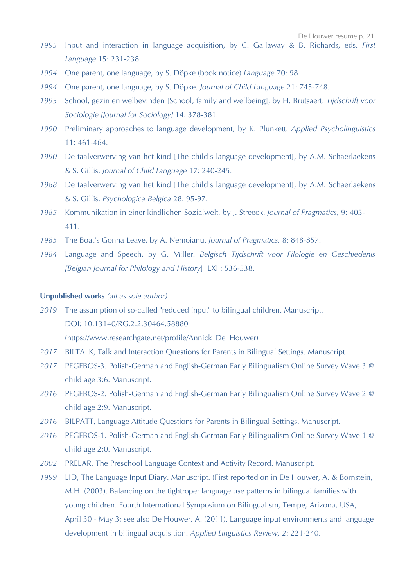- *1995* Input and interaction in language acquisition, by C. Gallaway & B. Richards, eds. *First Language* 15: 231-238.
- *1994* One parent, one language, by S. Döpke (book notice) *Language* 70: 98.
- *1994* One parent, one language, by S. Döpke. *Journal of Child Language* 21: 745-748.
- *1993* School, gezin en welbevinden [School, family and wellbeing], by H. Brutsaert. *Tijdschrift voor Sociologie [Journal for Sociology]* 14: 378-381*.*
- *1990* Preliminary approaches to language development, by K. Plunkett. *Applied Psycholinguistics*  11: 461-464.
- *1990* De taalverwerving van het kind [The child's language development], by A.M. Schaerlaekens & S. Gillis. *Journal of Child Language* 17: 240-245*.*
- *1988* De taalverwerving van het kind [The child's language development], by A.M. Schaerlaekens & S. Gillis. *Psychologica Belgica* 28: 95-97.
- *1985* Kommunikation in einer kindlichen Sozialwelt, by J. Streeck. *Journal of Pragmatics,* 9: 405- 411.
- *1985* The Boat's Gonna Leave, by A. Nemoianu. *Journal of Pragmatics,* 8: 848-857.
- *1984* Language and Speech, by G. Miller. *Belgisch Tijdschrift voor Filologie en Geschiedenis [Belgian Journal for Philology and History*] LXII: 536-538.

## **Unpublished works** *(all as sole author)*

*2019* The assumption of so-called "reduced input" to bilingual children. Manuscript. DOI: 10.13140/RG.2.2.30464.58880 (https://www.researchgate.net/profile/Annick\_De\_Houwer)

- *2017* BILTALK, Talk and Interaction Questions for Parents in Bilingual Settings. Manuscript.
- *2017* PEGEBOS-3. Polish-German and English-German Early Bilingualism Online Survey Wave 3 @ child age 3;6. Manuscript.
- *2016* PEGEBOS-2. Polish-German and English-German Early Bilingualism Online Survey Wave 2 @ child age 2;9. Manuscript.
- *2016* BILPATT, Language Attitude Questions for Parents in Bilingual Settings. Manuscript.
- *2016* PEGEBOS-1. Polish-German and English-German Early Bilingualism Online Survey Wave 1 @ child age 2;0. Manuscript.
- *2002* PRELAR, The Preschool Language Context and Activity Record. Manuscript.
- *1999* LID, The Language Input Diary. Manuscript. (First reported on in De Houwer, A. & Bornstein, M.H. (2003). Balancing on the tightrope: language use patterns in bilingual families with young children. Fourth International Symposium on Bilingualism, Tempe, Arizona, USA, April 30 - May 3; see also De Houwer, A. (2011). Language input environments and language development in bilingual acquisition. *Applied Linguistics Review, 2*: 221-240.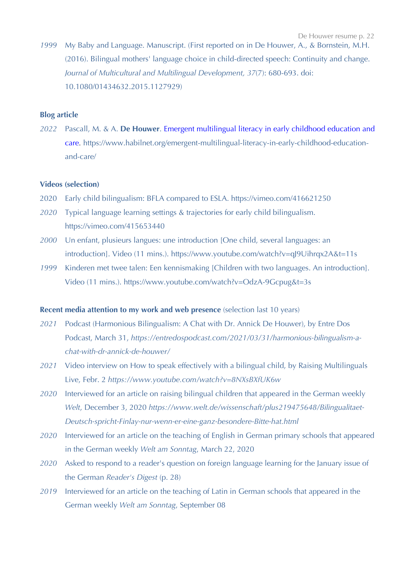*1999* My Baby and Language. Manuscript. (First reported on in De Houwer, A., & Bornstein, M.H. (2016). Bilingual mothers' language choice in child-directed speech: Continuity and change. *Journal of Multicultural and Multilingual Development, 37*(7): 680-693. doi: 10.1080/01434632.2015.1127929)

## **Blog article**

*2022* Pascall, M. & A. **De Houwer**. Emergent multilingual literacy in early childhood education and care*.* https://www.habilnet.org/emergent-multilingual-literacy-in-early-childhood-educationand-care/

## **Videos (selection)**

- 2020 Early child bilingualism: BFLA compared to ESLA. https://vimeo.com/416621250
- *2020* Typical language learning settings & trajectories for early child bilingualism. https://vimeo.com/415653440
- *2000* Un enfant, plusieurs langues: une introduction [One child, several languages: an introduction]. Video (11 mins.). https://www.youtube.com/watch?v=qJ9Uihrqx2A&t=11s
- *1999* Kinderen met twee talen: Een kennismaking [Children with two languages. An introduction]. Video (11 mins.). https://www.youtube.com/watch?v=OdzA-9Gcpug&t=3s

## **Recent media attention to my work and web presence** (selection last 10 years)

- *2021* Podcast (Harmonious Bilingualism: A Chat with Dr. Annick De Houwer), by Entre Dos Podcast, March 31, *https://entredospodcast.com/2021/03/31/harmonious-bilingualism-achat-with-dr-annick-de-houwer/*
- *2021* Video interview on How to speak effectively with a bilingual child, by Raising Multilinguals Live, Febr. 2 *https://www.youtube.com/watch?v=8NXsBXfUK6w*
- *2020* Interviewed for an article on raising bilingual children that appeared in the German weekly *Welt*, December 3, 2020 *https://www.welt.de/wissenschaft/plus219475648/Bilingualitaet-Deutsch-spricht-Finlay-nur-wenn-er-eine-ganz-besondere-Bitte-hat.html*
- *2020* Interviewed for an article on the teaching of English in German primary schools that appeared in the German weekly *Welt am Sonntag*, March 22, 2020
- *2020* Asked to respond to a reader's question on foreign language learning for the January issue of the German *Reader's Digest* (p. 28)
- *2019* Interviewed for an article on the teaching of Latin in German schools that appeared in the German weekly *Welt am Sonntag*, September 08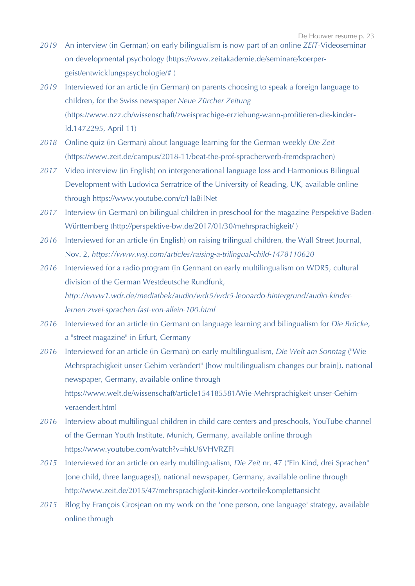- *2019* An interview (in German) on early bilingualism is now part of an online *ZEIT*-Videoseminar on developmental psychology (https://www.zeitakademie.de/seminare/koerpergeist/entwicklungspsychologie/# )
- *2019* Interviewed for an article (in German) on parents choosing to speak a foreign language to children, for the Swiss newspaper *Neue Zürcher Zeitung* (https://www.nzz.ch/wissenschaft/zweisprachige-erziehung-wann-profitieren-die-kinderld.1472295, April 11)
- *2018* Online quiz (in German) about language learning for the German weekly *Die Zeit* (https://www.zeit.de/campus/2018-11/beat-the-prof-spracherwerb-fremdsprachen)
- *2017* Video interview (in English) on intergenerational language loss and Harmonious Bilingual Development with Ludovica Serratrice of the University of Reading, UK, available online through https://www.youtube.com/c/HaBilNet
- *2017* Interview (in German) on bilingual children in preschool for the magazine Perspektive Baden-Württemberg (http://perspektive-bw.de/2017/01/30/mehrsprachigkeit/ )
- *2016* Interviewed for an article (in English) on raising trilingual children, the Wall Street Journal, Nov. 2, *https://www.wsj.com/articles/raising-a-trilingual-child-1478110620*
- *2016* Interviewed for a radio program (in German) on early multilingualism on WDR5, cultural division of the German Westdeutsche Rundfunk, *http://www1.wdr.de/mediathek/audio/wdr5/wdr5-leonardo-hintergrund/audio-kinderlernen-zwei-sprachen-fast-von-allein-100.html*
- *2016* Interviewed for an article (in German) on language learning and bilingualism for *Die Brücke*, a "street magazine" in Erfurt, Germany
- *2016* Interviewed for an article (in German) on early multilingualism, *Die Welt am Sonntag* ("Wie Mehrsprachigkeit unser Gehirn verändert" [how multilingualism changes our brain]), national newspaper, Germany, available online through https://www.welt.de/wissenschaft/article154185581/Wie-Mehrsprachigkeit-unser-Gehirnveraendert.html
- *2016* Interview about multilingual children in child care centers and preschools, YouTube channel of the German Youth Institute, Munich, Germany, available online through https://www.youtube.com/watch?v=hkU6VHVRZFI
- *2015* Interviewed for an article on early multilingualism, *Die Zeit* nr. 47 ("Ein Kind, drei Sprachen" [one child, three languages]), national newspaper, Germany, available online through http://www.zeit.de/2015/47/mehrsprachigkeit-kinder-vorteile/komplettansicht
- *2015* Blog by François Grosjean on my work on the 'one person, one language' strategy, available online through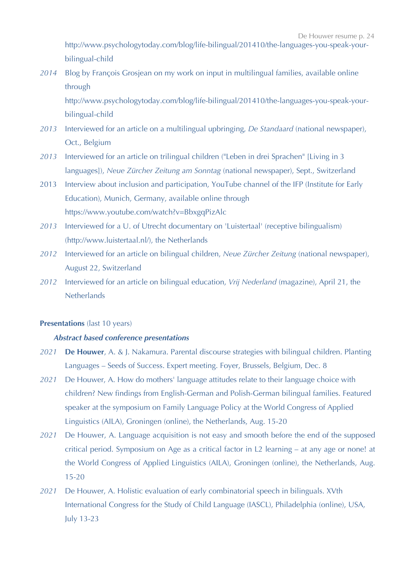http://www.psychologytoday.com/blog/life-bilingual/201410/the-languages-you-speak-yourbilingual-child

*2014* Blog by François Grosjean on my work on input in multilingual families, available online through

http://www.psychologytoday.com/blog/life-bilingual/201410/the-languages-you-speak-yourbilingual-child

- *2013* Interviewed for an article on a multilingual upbringing, *De Standaard* (national newspaper), Oct., Belgium
- *2013* Interviewed for an article on trilingual children ("Leben in drei Sprachen" [Living in 3 languages]), *Neue Zürcher Zeitung am Sonntag* (national newspaper), Sept., Switzerland
- 2013 Interview about inclusion and participation, YouTube channel of the IFP (Institute for Early Education), Munich, Germany, available online through https://www.youtube.com/watch?v=BbxgqPizAlc
- *2013* Interviewed for a U. of Utrecht documentary on 'Luistertaal' (receptive bilingualism) (http://www.luistertaal.nl/), the Netherlands
- *2012* Interviewed for an article on bilingual children, *Neue Zürcher Zeitung* (national newspaper), August 22, Switzerland
- *2012* Interviewed for an article on bilingual education, *Vrij Nederland* (magazine), April 21, the **Netherlands**

## **Presentations** (last 10 years)

# *Abstract based conference presentations*

- *2021* **De Houwer**, A. & J. Nakamura. Parental discourse strategies with bilingual children. Planting Languages – Seeds of Success. Expert meeting. Foyer, Brussels, Belgium, Dec. 8
- *2021* De Houwer, A. How do mothers' language attitudes relate to their language choice with children? New findings from English-German and Polish-German bilingual families. Featured speaker at the symposium on Family Language Policy at the World Congress of Applied Linguistics (AILA), Groningen (online), the Netherlands, Aug. 15-20
- *2021* De Houwer, A. Language acquisition is not easy and smooth before the end of the supposed critical period. Symposium on Age as a critical factor in L2 learning – at any age or none! at the World Congress of Applied Linguistics (AILA), Groningen (online), the Netherlands, Aug. 15-20
- *2021* De Houwer, A. Holistic evaluation of early combinatorial speech in bilinguals. XVth International Congress for the Study of Child Language (IASCL), Philadelphia (online), USA, July 13-23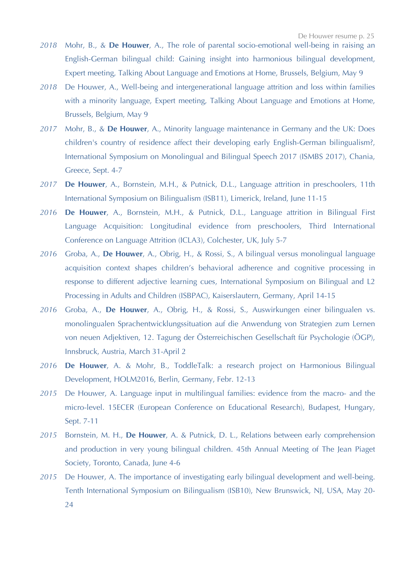- *2018* Mohr, B., & **De Houwer**, A., The role of parental socio-emotional well-being in raising an English-German bilingual child: Gaining insight into harmonious bilingual development, Expert meeting, Talking About Language and Emotions at Home, Brussels, Belgium, May 9
- *2018* De Houwer, A., Well-being and intergenerational language attrition and loss within families with a minority language, Expert meeting, Talking About Language and Emotions at Home, Brussels, Belgium, May 9
- *2017* Mohr, B., & **De Houwer**, A., Minority language maintenance in Germany and the UK: Does children's country of residence affect their developing early English-German bilingualism?, International Symposium on Monolingual and Bilingual Speech 2017 (ISMBS 2017), Chania, Greece, Sept. 4-7
- *2017* **De Houwer**, A., Bornstein, M.H., & Putnick, D.L., Language attrition in preschoolers, 11th International Symposium on Bilingualism (ISB11), Limerick, Ireland, June 11-15
- *2016* **De Houwer**, A., Bornstein, M.H., & Putnick, D.L., Language attrition in Bilingual First Language Acquisition: Longitudinal evidence from preschoolers, Third International Conference on Language Attrition (ICLA3), Colchester, UK, July 5-7
- *2016* Groba, A., **De Houwer**, A., Obrig, H., & Rossi, S., A bilingual versus monolingual language acquisition context shapes children's behavioral adherence and cognitive processing in response to different adjective learning cues, International Symposium on Bilingual and L2 Processing in Adults and Children (ISBPAC), Kaiserslautern, Germany, April 14-15
- *2016* Groba, A., **De Houwer**, A., Obrig, H., & Rossi, S., Auswirkungen einer bilingualen vs. monolingualen Sprachentwicklungssituation auf die Anwendung von Strategien zum Lernen von neuen Adjektiven, 12. Tagung der Österreichischen Gesellschaft für Psychologie (ÖGP), Innsbruck, Austria, March 31-April 2
- *2016* **De Houwer**, A. & Mohr, B., ToddleTalk: a research project on Harmonious Bilingual Development, HOLM2016, Berlin, Germany, Febr. 12-13
- *2015* De Houwer, A. Language input in multilingual families: evidence from the macro- and the micro-level. 15ECER (European Conference on Educational Research), Budapest, Hungary, Sept. 7-11
- *2015* Bornstein, M. H., **De Houwer**, A. & Putnick, D. L., Relations between early comprehension and production in very young bilingual children. 45th Annual Meeting of The Jean Piaget Society, Toronto, Canada, June 4-6
- *2015* De Houwer, A. The importance of investigating early bilingual development and well-being. Tenth International Symposium on Bilingualism (ISB10), New Brunswick, NJ, USA, May 20- 24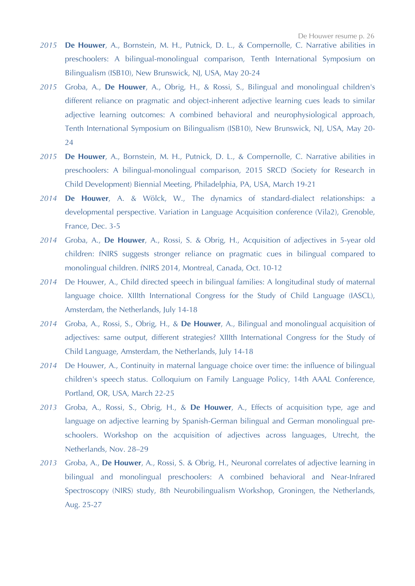- *2015* **De Houwer**, A., Bornstein, M. H., Putnick, D. L., & Compernolle, C. Narrative abilities in preschoolers: A bilingual-monolingual comparison, Tenth International Symposium on Bilingualism (ISB10), New Brunswick, NJ, USA, May 20-24
- *2015* Groba, A., **De Houwer**, A., Obrig, H., & Rossi, S., Bilingual and monolingual children's different reliance on pragmatic and object-inherent adjective learning cues leads to similar adjective learning outcomes: A combined behavioral and neurophysiological approach, Tenth International Symposium on Bilingualism (ISB10), New Brunswick, NJ, USA, May 20- 24
- *2015* **De Houwer**, A., Bornstein, M. H., Putnick, D. L., & Compernolle, C. Narrative abilities in preschoolers: A bilingual-monolingual comparison, 2015 SRCD (Society for Research in Child Development) Biennial Meeting, Philadelphia, PA, USA, March 19-21
- *2014* **De Houwer**, A. & Wölck, W., The dynamics of standard-dialect relationships: a developmental perspective. Variation in Language Acquisition conference (Vila2), Grenoble, France, Dec. 3-5
- *2014* Groba, A., **De Houwer**, A., Rossi, S. & Obrig, H., Acquisition of adjectives in 5-year old children: fNIRS suggests stronger reliance on pragmatic cues in bilingual compared to monolingual children. fNIRS 2014, Montreal, Canada, Oct. 10-12
- *2014* De Houwer, A., Child directed speech in bilingual families: A longitudinal study of maternal language choice. XIIIth International Congress for the Study of Child Language (IASCL), Amsterdam, the Netherlands, July 14-18
- *2014* Groba, A., Rossi, S., Obrig, H., & **De Houwer**, A., Bilingual and monolingual acquisition of adjectives: same output, different strategies? XIIIth International Congress for the Study of Child Language, Amsterdam, the Netherlands, July 14-18
- *2014* De Houwer, A., Continuity in maternal language choice over time: the influence of bilingual children's speech status. Colloquium on Family Language Policy, 14th AAAL Conference, Portland, OR, USA, March 22-25
- *2013* Groba, A., Rossi, S., Obrig, H., & **De Houwer**, A., Effects of acquisition type, age and language on adjective learning by Spanish-German bilingual and German monolingual preschoolers. Workshop on the acquisition of adjectives across languages, Utrecht, the Netherlands, Nov. 28–29
- *2013* Groba, A., **De Houwer**, A., Rossi, S. & Obrig, H., Neuronal correlates of adjective learning in bilingual and monolingual preschoolers: A combined behavioral and Near-Infrared Spectroscopy (NIRS) study, 8th Neurobilingualism Workshop, Groningen, the Netherlands, Aug. 25-27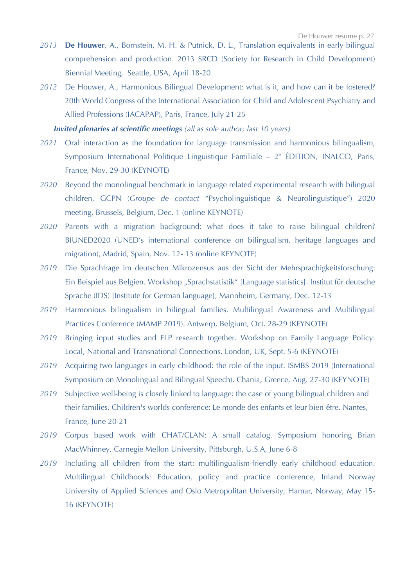- *2013* **De Houwer**, A., Bornstein, M. H. & Putnick, D. L., Translation equivalents in early bilingual comprehension and production. 2013 SRCD (Society for Research in Child Development) Biennial Meeting, Seattle, USA, April 18-20
- *2012* De Houwer, A., Harmonious Bilingual Development: what is it, and how can it be fostered? 20th World Congress of the International Association for Child and Adolescent Psychiatry and Allied Professions (IACAPAP), Paris, France, July 21-25

*Invited plenaries at scientific meetings (all as sole author; last 10 years)*

- *2021* Oral interaction as the foundation for language transmission and harmonious bilingualism, Symposium International Politique Linguistique Familiale –  $2^e$  ÉDITION, INALCO, Paris, France, Nov. 29-30 (KEYNOTE)
- *2020* Beyond the monolingual benchmark in language related experimental research with bilingual children, GCPN (*Groupe de contact* "Psycholinguistique & Neurolinguistique") 2020 meeting, Brussels, Belgium, Dec. 1 (online KEYNOTE)
- *2020* Parents with a migration background: what does it take to raise bilingual children? BIUNED2020 (UNED's international conference on bilingualism, heritage languages and migration), Madrid, Spain, Nov. 12- 13 (online KEYNOTE)
- *2019* Die Sprachfrage im deutschen Mikrozensus aus der Sicht der Mehrsprachigkeitsforschung: Ein Beispiel aus Belgien. Workshop "Sprachstatistik" [Language statistics]. Institut für deutsche Sprache (IDS) [Institute for German language], Mannheim, Germany, Dec. 12-13
- *2019* Harmonious bilingualism in bilingual families. Multilingual Awareness and Multilingual Practices Conference (MAMP 2019). Antwerp, Belgium, Oct. 28-29 (KEYNOTE)
- *2019* Bringing input studies and FLP research together. Workshop on Family Language Policy: Local, National and Transnational Connections. London, UK, Sept. 5-6 (KEYNOTE)
- *2019* Acquiring two languages in early childhood: the role of the input. ISMBS 2019 (International Symposium on Monolingual and Bilingual Speech). Chania, Greece, Aug. 27-30 (KEYNOTE)
- *2019* Subjective well-being is closely linked to language: the case of young bilingual children and their families. Children's worlds conference: Le monde des enfants et leur bien-être. Nantes, France, June 20-21
- *2019* Corpus based work with CHAT/CLAN: A small catalog. Symposium honoring Brian MacWhinney. Carnegie Mellon University, Pittsburgh, U.S.A, June 6-8
- *2019* Including all children from the start: multilingualism-friendly early childhood education. Multilingual Childhoods: Education, policy and practice conference, Inland Norway University of Applied Sciences and Oslo Metropolitan University, Hamar, Norway, May 15- 16 (KEYNOTE)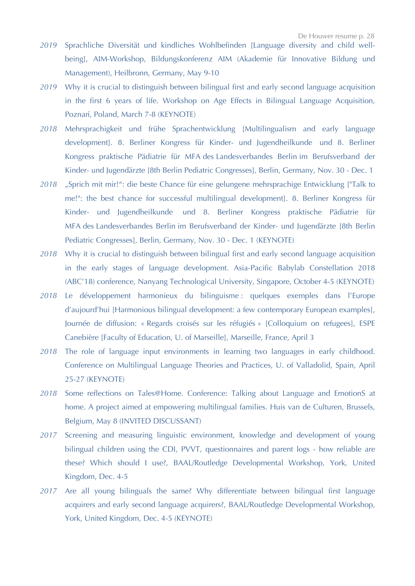- *2019* Sprachliche Diversität und kindliches Wohlbefinden [Language diversity and child wellbeing], AIM-Workshop, Bildungskonferenz AIM (Akademie für Innovative Bildung und Management), Heilbronn, Germany, May 9-10
- *2019* Why it is crucial to distinguish between bilingual first and early second language acquisition in the first 6 years of life. Workshop on Age Effects in Bilingual Language Acquisition, Poznań, Poland, March 7-8 (KEYNOTE)
- *2018* Mehrsprachigkeit und frühe Sprachentwicklung [Multilingualism and early language development]. 8. Berliner Kongress für Kinder- und Jugendheilkunde und 8. Berliner Kongress praktische Pädiatrie für MFA des Landesverbandes Berlin im Berufsverband der Kinder- und Jugendärzte [8th Berlin Pediatric Congresses], Berlin, Germany, Nov. 30 - Dec. 1
- *2018* "Sprich mit mir!": die beste Chance für eine gelungene mehrsprachige Entwicklung ["Talk to me!": the best chance for successful multilingual development]. 8. Berliner Kongress für Kinder- und Jugendheilkunde und 8. Berliner Kongress praktische Pädiatrie für MFA des Landesverbandes Berlin im Berufsverband der Kinder- und Jugendärzte [8th Berlin Pediatric Congresses], Berlin, Germany, Nov. 30 - Dec. 1 (KEYNOTE)
- *2018* Why it is crucial to distinguish between bilingual first and early second language acquisition in the early stages of language development. Asia-Pacific Babylab Constellation 2018 (ABC'18) conference, Nanyang Technological University, Singapore, October 4-5 (KEYNOTE)
- *2018* Le développement harmonieux du bilinguisme : quelques exemples dans l'Europe d'aujourd'hui [Harmonious bilingual development: a few contemporary European examples], Journée de diffusion: « Regards croisés sur les réfugiés » [Colloquium on refugees], ESPE Canebière [Faculty of Education, U. of Marseille], Marseille, France, April 3
- *2018* The role of language input environments in learning two languages in early childhood. Conference on Multilingual Language Theories and Practices, U. of Valladolid, Spain, April 25-27 (KEYNOTE)
- *2018* Some reflections on Tales@Home. Conference: Talking about Language and EmotionS at home. A project aimed at empowering multilingual families. Huis van de Culturen, Brussels, Belgium, May 8 (INVITED DISCUSSANT)
- *2017* Screening and measuring linguistic environment, knowledge and development of young bilingual children using the CDI, PVVT, questionnaires and parent logs - how reliable are these? Which should I use?, BAAL/Routledge Developmental Workshop, York, United Kingdom, Dec. 4-5
- *2017* Are all young bilinguals the same? Why differentiate between bilingual first language acquirers and early second language acquirers?, BAAL/Routledge Developmental Workshop, York, United Kingdom, Dec. 4-5 (KEYNOTE)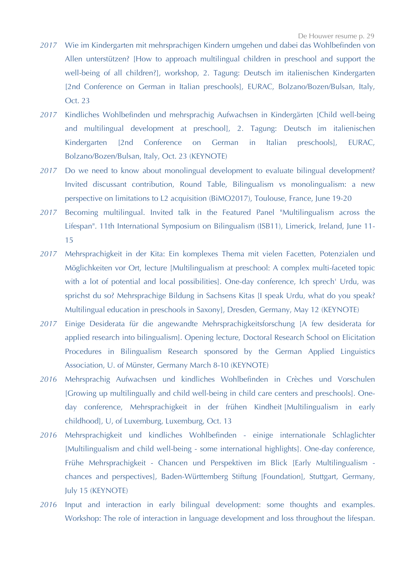- *2017* Wie im Kindergarten mit mehrsprachigen Kindern umgehen und dabei das Wohlbefinden von Allen unterstützen? [How to approach multilingual children in preschool and support the well-being of all children?], workshop, 2. Tagung: Deutsch im italienischen Kindergarten [2nd Conference on German in Italian preschools], EURAC, Bolzano/Bozen/Bulsan, Italy, Oct. 23
- *2017* Kindliches Wohlbefinden und mehrsprachig Aufwachsen in Kindergärten [Child well-being and multilingual development at preschool], 2. Tagung: Deutsch im italienischen Kindergarten [2nd Conference on German in Italian preschools], EURAC, Bolzano/Bozen/Bulsan, Italy, Oct. 23 (KEYNOTE)
- *2017* Do we need to know about monolingual development to evaluate bilingual development? Invited discussant contribution, Round Table, Bilingualism vs monolingualism: a new perspective on limitations to L2 acquisition (BiMO2017), Toulouse, France, June 19-20
- *2017* Becoming multilingual. Invited talk in the Featured Panel "Multilingualism across the Lifespan". 11th International Symposium on Bilingualism (ISB11), Limerick, Ireland, June 11- 15
- *2017* Mehrsprachigkeit in der Kita: Ein komplexes Thema mit vielen Facetten, Potenzialen und Möglichkeiten vor Ort, lecture [Multilingualism at preschool: A complex multi-faceted topic with a lot of potential and local possibilities]. One-day conference, Ich sprech' Urdu, was sprichst du so? Mehrsprachige Bildung in Sachsens Kitas [I speak Urdu, what do you speak? Multilingual education in preschools in Saxony], Dresden, Germany, May 12 (KEYNOTE)
- *2017* Einige Desiderata für die angewandte Mehrsprachigkeitsforschung [A few desiderata for applied research into bilingualism]. Opening lecture, Doctoral Research School on Elicitation Procedures in Bilingualism Research sponsored by the German Applied Linguistics Association, U. of Münster, Germany March 8-10 (KEYNOTE)
- *2016* Mehrsprachig Aufwachsen und kindliches Wohlbefinden in Crèches und Vorschulen [Growing up multilingually and child well-being in child care centers and preschools]. Oneday conference, Mehrsprachigkeit in der frühen Kindheit [Multilingualism in early childhood], U, of Luxemburg, Luxemburg, Oct. 13
- *2016* Mehrsprachigkeit und kindliches Wohlbefinden einige internationale Schlaglichter [Multilingualism and child well-being - some international highlights]. One-day conference, Frühe Mehrsprachigkeit - Chancen und Perspektiven im Blick [Early Multilingualism chances and perspectives], Baden-Württemberg Stiftung [Foundation], Stuttgart, Germany, July 15 (KEYNOTE)
- *2016* Input and interaction in early bilingual development: some thoughts and examples. Workshop: The role of interaction in language development and loss throughout the lifespan.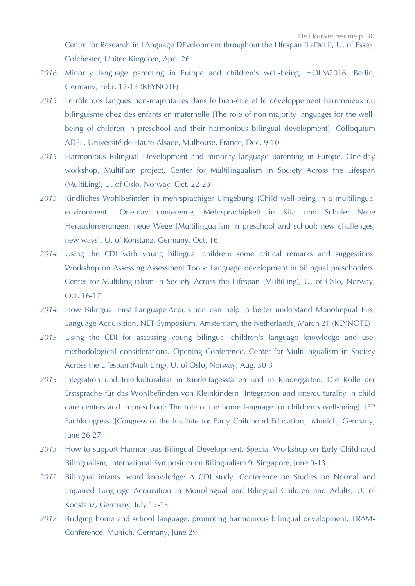- *2016* Minority language parenting in Europe and children's well-being, HOLM2016, Berlin, Germany, Febr. 12-13 (KEYNOTE)
- *2015* Le rôle des langues non-majoritaires dans le bien-être et le développement harmonieux du bilinguisme chez des enfants en maternelle [The role of non-majority languages for the wellbeing of children in preschool and their harmonious bilingual development], Colloquium ADEL, Université de Haute-Alsace, Mulhouse, France, Dec. 9-10
- *2015* Harmonious Bilingual Development and minority language parenting in Europe. One-day workshop, MultiFam project, Center for Multilingualism in Society Across the Lifespan (MultiLing), U. of Oslo, Norway, Oct. 22-23
- *2015* Kindliches Wohlbefinden in mehrsprachiger Umgebung [Child well-being in a multilingual environment]. One-day conference, Mehrsprachigkeit in Kita und Schule: Neue Herausforderungen, neue Wege [Multilingualism in preschool and school: new challenges, new ways], U. of Konstanz, Germany, Oct. 16
- *2014* Using the CDI with young bilingual children: some critical remarks and suggestions. Workshop on Assessing Assessment Tools: Language development in bilingual preschoolers. Center for Multilingualism in Society Across the Lifespan (MultiLing), U. of Oslo, Norway, Oct. 16-17
- *2014* How Bilingual First Language Acquisition can help to better understand Monolingual First Language Acquisition. NET-Symposium, Amsterdam, the Netherlands, March 21 (KEYNOTE)
- *2013* Using the CDI for assessing young bilingual children's language knowledge and use: methodological considerations. Opening Conference, Center for Multilingualism in Society Across the Lifespan (MultiLing), U. of Oslo, Norway, Aug. 30-31
- *2013* Integration und Interkulturalität in Kindertagesstätten und in Kindergärten: Die Rolle der Erstsprache für das Wohlbefinden von Kleinkindern [Integration and interculturality in child care centers and in preschool: The role of the home language for children's well-being]. IFP Fachkongress ([Congress of the Institute for Early Childhood Education], Munich, Germany, June 26-27
- *2013* How to support Harmonious Bilingual Development. Special Workshop on Early Childhood Bilingualism, International Symposium on Bilingualism 9, Singapore, June 9-13
- *2012* Bilingual infants' word knowledge: A CDI study. Conference on Studies on Normal and Impaired Language Acquisition in Monolingual and Bilingual Children and Adults, U. of Konstanz, Germany, July 12-13
- *2012* Bridging home and school language: promoting harmonious bilingual development. TRAM-Conference. Munich, Germany, June 29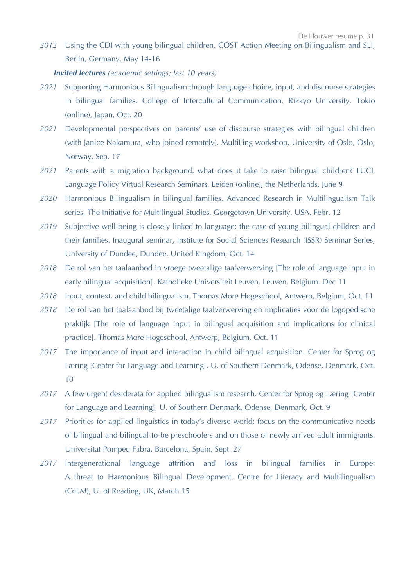*2012* Using the CDI with young bilingual children. COST Action Meeting on Bilingualism and SLI, Berlin, Germany, May 14-16

# *Invited lectures (academic settings; last 10 years)*

- *2021* Supporting Harmonious Bilingualism through language choice, input, and discourse strategies in bilingual families. College of Intercultural Communication, Rikkyo University, Tokio (online), Japan, Oct. 20
- *2021* Developmental perspectives on parents' use of discourse strategies with bilingual children (with Janice Nakamura, who joined remotely). MultiLing workshop, University of Oslo, Oslo, Norway, Sep. 17
- *2021* Parents with a migration background: what does it take to raise bilingual children? LUCL Language Policy Virtual Research Seminars, Leiden (online), the Netherlands, June 9
- *2020* Harmonious Bilingualism in bilingual families. Advanced Research in Multilingualism Talk series, The Initiative for Multilingual Studies, Georgetown University, USA, Febr. 12
- *2019* Subjective well-being is closely linked to language: the case of young bilingual children and their families. Inaugural seminar, Institute for Social Sciences Research (ISSR) Seminar Series, University of Dundee, Dundee, United Kingdom, Oct. 14
- *2018* De rol van het taalaanbod in vroege tweetalige taalverwerving [The role of language input in early bilingual acquisition]. Katholieke Universiteit Leuven, Leuven, Belgium. Dec 11
- *2018* Input, context, and child bilingualism. Thomas More Hogeschool, Antwerp, Belgium, Oct. 11
- *2018* De rol van het taalaanbod bij tweetalige taalverwerving en implicaties voor de logopedische praktijk [The role of language input in bilingual acquisition and implications for clinical practice]. Thomas More Hogeschool, Antwerp, Belgium, Oct. 11
- *2017* The importance of input and interaction in child bilingual acquisition. Center for Sprog og Læring [Center for Language and Learning], U. of Southern Denmark, Odense, Denmark, Oct. 10
- *2017* A few urgent desiderata for applied bilingualism research. Center for Sprog og Læring [Center for Language and Learning], U. of Southern Denmark, Odense, Denmark, Oct. 9
- 2017 Priorities for applied linguistics in today's diverse world: focus on the communicative needs of bilingual and bilingual-to-be preschoolers and on those of newly arrived adult immigrants. Universitat Pompeu Fabra, Barcelona, Spain, Sept. 27
- *2017* Intergenerational language attrition and loss in bilingual families in Europe: A threat to Harmonious Bilingual Development. Centre for Literacy and Multilingualism (CeLM), U. of Reading, UK, March 15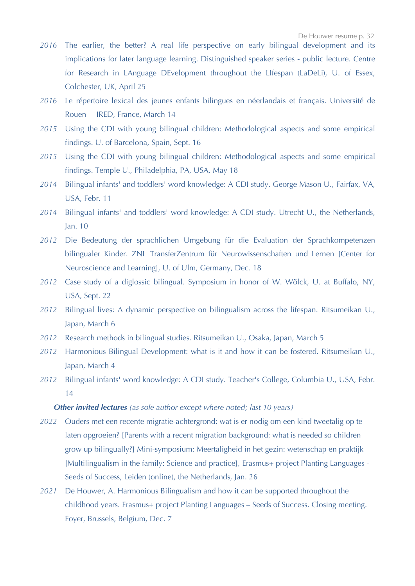- *2016* The earlier, the better? A real life perspective on early bilingual development and its implications for later language learning. Distinguished speaker series - public lecture. Centre for Research in LAnguage DEvelopment throughout the LIfespan (LaDeLi), U. of Essex, Colchester, UK, April 25
- *2016* Le répertoire lexical des jeunes enfants bilingues en néerlandais et français. Université de Rouen – IRED, France, March 14
- *2015* Using the CDI with young bilingual children: Methodological aspects and some empirical findings. U. of Barcelona, Spain, Sept. 16
- *2015* Using the CDI with young bilingual children: Methodological aspects and some empirical findings. Temple U., Philadelphia, PA, USA, May 18
- *2014* Bilingual infants' and toddlers' word knowledge: A CDI study. George Mason U., Fairfax, VA, USA, Febr. 11
- *2014* Bilingual infants' and toddlers' word knowledge: A CDI study. Utrecht U., the Netherlands, Jan. 10
- *2012* Die Bedeutung der sprachlichen Umgebung für die Evaluation der Sprachkompetenzen bilingualer Kinder. ZNL TransferZentrum für Neurowissenschaften und Lernen [Center for Neuroscience and Learning], U. of Ulm, Germany, Dec. 18
- *2012* Case study of a diglossic bilingual. Symposium in honor of W. Wölck, U. at Buffalo, NY, USA, Sept. 22
- *2012* Bilingual lives: A dynamic perspective on bilingualism across the lifespan. Ritsumeikan U., Japan, March 6
- *2012* Research methods in bilingual studies. Ritsumeikan U., Osaka, Japan, March 5
- *2012* Harmonious Bilingual Development: what is it and how it can be fostered. Ritsumeikan U., Japan, March 4
- *2012* Bilingual infants' word knowledge: A CDI study. Teacher's College, Columbia U., USA, Febr. 14

# *Other invited lectures (as sole author except where noted; last 10 years)*

- *2022* Ouders met een recente migratie-achtergrond: wat is er nodig om een kind tweetalig op te laten opgroeien? [Parents with a recent migration background: what is needed so children grow up bilingually?] Mini-symposium: Meertaligheid in het gezin: wetenschap en praktijk [Multilingualism in the family: Science and practice]*,* Erasmus+ project Planting Languages - Seeds of Success, Leiden (online), the Netherlands, Jan. 26
- *2021* De Houwer, A. Harmonious Bilingualism and how it can be supported throughout the childhood years. Erasmus+ project Planting Languages – Seeds of Success. Closing meeting. Foyer, Brussels, Belgium, Dec. 7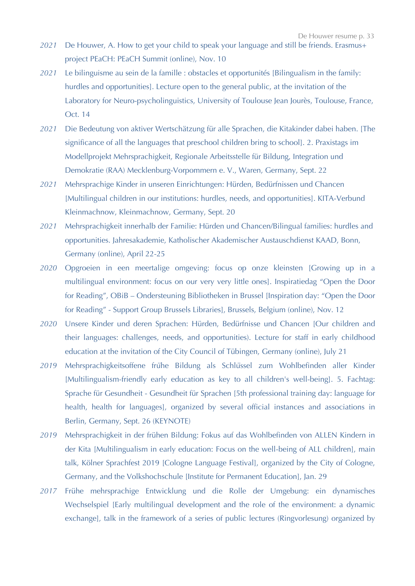- *2021* De Houwer, A. How to get your child to speak your language and still be friends. Erasmus+ project PEaCH: PEaCH Summit (online), Nov. 10
- *2021* Le bilinguisme au sein de la famille : obstacles et opportunités [Bilingualism in the family: hurdles and opportunities]. Lecture open to the general public, at the invitation of the Laboratory for Neuro-psycholinguistics, University of Toulouse Jean Jourès, Toulouse, France, Oct. 14
- *2021* Die Bedeutung von aktiver Wertschätzung für alle Sprachen, die Kitakinder dabei haben. [The significance of all the languages that preschool children bring to school]. 2. Praxistags im Modellprojekt Mehrsprachigkeit, Regionale Arbeitsstelle für Bildung, Integration und Demokratie (RAA) Mecklenburg-Vorpommern e. V., Waren, Germany, Sept. 22
- *2021* Mehrsprachige Kinder in unseren Einrichtungen: Hürden, Bedürfnissen und Chancen [Multilingual children in our institutions: hurdles, needs, and opportunities]. KITA-Verbund Kleinmachnow, Kleinmachnow, Germany, Sept. 20
- *2021* Mehrsprachigkeit innerhalb der Familie: Hürden und Chancen/Bilingual families: hurdles and opportunities. Jahresakademie, Katholischer Akademischer Austauschdienst KAAD, Bonn, Germany (online), April 22-25
- *2020* Opgroeien in een meertalige omgeving: focus op onze kleinsten [Growing up in a multilingual environment: focus on our very very little ones]. Inspiratiedag "Open the Door for Reading", OBiB – Ondersteuning Bibliotheken in Brussel [Inspiration day: "Open the Door for Reading" - Support Group Brussels Libraries], Brussels, Belgium (online), Nov. 12
- *2020* Unsere Kinder und deren Sprachen: Hürden, Bedürfnisse und Chancen [Our children and their languages: challenges, needs, and opportunities). Lecture for staff in early childhood education at the invitation of the City Council of Tübingen, Germany (online), July 21
- 2019 Mehrsprachigkeitsoffene frühe Bildung als Schlüssel zum Wohlbefinden aller Kinder [Multilingualism-friendly early education as key to all children's well-being]. 5. Fachtag: Sprache für Gesundheit - Gesundheit für Sprachen [5th professional training day: language for health, health for languages], organized by several official instances and associations in Berlin, Germany, Sept. 26 (KEYNOTE)
- *2019* Mehrsprachigkeit in der frühen Bildung: Fokus auf das Wohlbefinden von ALLEN Kindern in der Kita [Multilingualism in early education: Focus on the well-being of ALL children], main talk, Kölner Sprachfest 2019 [Cologne Language Festival], organized by the City of Cologne, Germany, and the Volkshochschule [Institute for Permanent Education], Jan. 29
- *2017* Frühe mehrsprachige Entwicklung und die Rolle der Umgebung: ein dynamisches Wechselspiel [Early multilingual development and the role of the environment: a dynamic exchange], talk in the framework of a series of public lectures (Ringvorlesung) organized by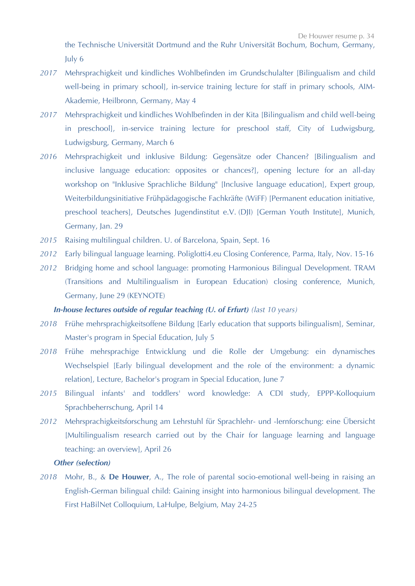the Technische Universität Dortmund and the Ruhr Universität Bochum, Bochum, Germany, July 6

- *2017* Mehrsprachigkeit und kindliches Wohlbefinden im Grundschulalter [Bilingualism and child well-being in primary school], in-service training lecture for staff in primary schools, AIM-Akademie, Heilbronn, Germany, May 4
- *2017* Mehrsprachigkeit und kindliches Wohlbefinden in der Kita [Bilingualism and child well-being in preschool], in-service training lecture for preschool staff, City of Ludwigsburg, Ludwigsburg, Germany, March 6
- *2016* Mehrsprachigkeit und inklusive Bildung: Gegensätze oder Chancen? [Bilingualism and inclusive language education: opposites or chances?], opening lecture for an all-day workshop on "Inklusive Sprachliche Bildung" [Inclusive language education], Expert group, Weiterbildungsinitiative Frühpädagogische Fachkräfte (WiFF) [Permanent education initiative, preschool teachers], Deutsches Jugendinstitut e.V. (DJI) [German Youth Institute], Munich, Germany, Jan. 29
- *2015* Raising multilingual children. U. of Barcelona, Spain, Sept. 16
- *2012* Early bilingual language learning. Poliglotti4.eu Closing Conference, Parma, Italy, Nov. 15-16
- *2012* Bridging home and school language: promoting Harmonious Bilingual Development. TRAM (Transitions and Multilingualism in European Education) closing conference, Munich, Germany, June 29 (KEYNOTE)

# *In-house lectures outside of regular teaching (U. of Erfurt) (last 10 years)*

- *2018* Frühe mehrsprachigkeitsoffene Bildung [Early education that supports bilingualism], Seminar, Master's program in Special Education, July 5
- *2018* Frühe mehrsprachige Entwicklung und die Rolle der Umgebung: ein dynamisches Wechselspiel [Early bilingual development and the role of the environment: a dynamic relation], Lecture, Bachelor's program in Special Education, June 7
- *2015* Bilingual infants' and toddlers' word knowledge: A CDI study, EPPP-Kolloquium Sprachbeherrschung, April 14
- *2012* Mehrsprachigkeitsforschung am Lehrstuhl für Sprachlehr- und -lernforschung: eine Übersicht [Multilingualism research carried out by the Chair for language learning and language teaching: an overview], April 26

## *Other (selection)*

*2018* Mohr, B., & **De Houwer**, A., The role of parental socio-emotional well-being in raising an English-German bilingual child: Gaining insight into harmonious bilingual development. The First HaBilNet Colloquium, LaHulpe, Belgium, May 24-25